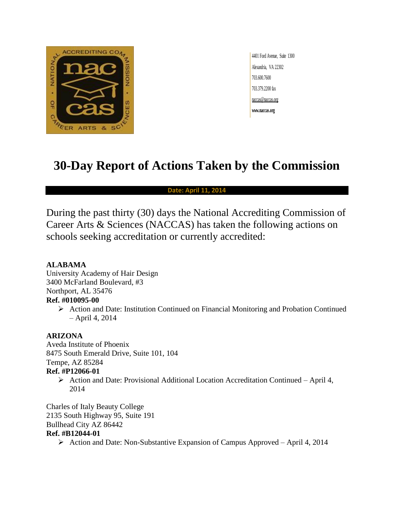

4401 Ford Avenue, Suite 1300 Alexandria, VA 22302 703.600.7600 703.379.2200 fax naccas@naccas.org **www.naccas.org**

# **30-Day Report of Actions Taken by the Commission**

#### **Date: April 11, 2014**

During the past thirty (30) days the National Accrediting Commission of Career Arts & Sciences (NACCAS) has taken the following actions on schools seeking accreditation or currently accredited:

#### **ALABAMA**

University Academy of Hair Design 3400 McFarland Boulevard, #3 Northport, AL 35476 **Ref. #010095-00**

> $\triangleright$  Action and Date: Institution Continued on Financial Monitoring and Probation Continued – April 4, 2014

#### **ARIZONA**

Aveda Institute of Phoenix 8475 South Emerald Drive, Suite 101, 104 Tempe, AZ 85284

#### **Ref. #P12066-01**

 Action and Date: Provisional Additional Location Accreditation Continued – April 4, 2014

Charles of Italy Beauty College 2135 South Highway 95, Suite 191 Bullhead City AZ 86442 **Ref. #B12044-01**

 $\triangleright$  Action and Date: Non-Substantive Expansion of Campus Approved – April 4, 2014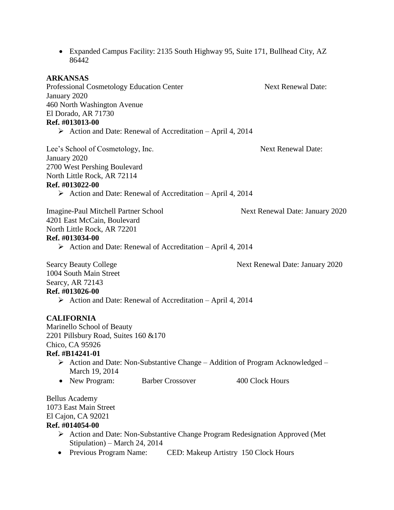86442 **ARKANSAS** Professional Cosmetology Education Center Next Renewal Date: January 2020 460 North Washington Avenue El Dorado, AR 71730 **Ref. #013013-00**  $\triangleright$  Action and Date: Renewal of Accreditation – April 4, 2014 Lee's School of Cosmetology, Inc. Next Renewal Date: January 2020 2700 West Pershing Boulevard North Little Rock, AR 72114 **Ref. #013022-00**  $\triangleright$  Action and Date: Renewal of Accreditation – April 4, 2014 Imagine-Paul Mitchell Partner School Next Renewal Date: January 2020 4201 East McCain, Boulevard North Little Rock, AR 72201 **Ref. #013034-00**  $\triangleright$  Action and Date: Renewal of Accreditation – April 4, 2014 Searcy Beauty College Next Renewal Date: January 2020 1004 South Main Street Searcy, AR 72143 **Ref. #013026-00**  $\triangleright$  Action and Date: Renewal of Accreditation – April 4, 2014 **CALIFORNIA** Marinello School of Beauty 2201 Pillsbury Road, Suites 160 &170 Chico, CA 95926 **Ref. #B14241-01**  $\triangleright$  Action and Date: Non-Substantive Change – Addition of Program Acknowledged – March 19, 2014 • New Program: Barber Crossover 400 Clock Hours Bellus Academy 1073 East Main Street El Cajon, CA 92021 **Ref. #014054-00** Action and Date: Non-Substantive Change Program Redesignation Approved (Met Stipulation) – March 24, 2014

Expanded Campus Facility: 2135 South Highway 95, Suite 171, Bullhead City, AZ

• Previous Program Name: CED: Makeup Artistry 150 Clock Hours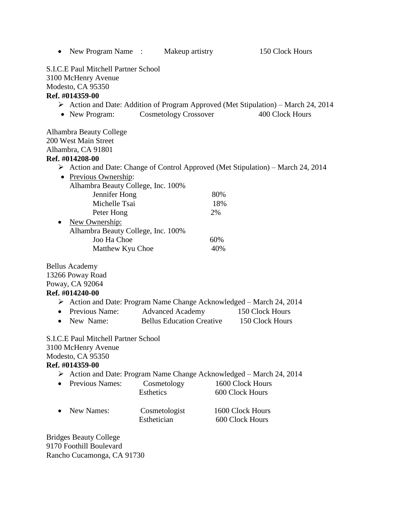|                        | • New Program Name $\therefore$                                                                                                                                                                       |             | Makeup artistry                                             |                                     | 150 Clock Hours                                                                                                      |
|------------------------|-------------------------------------------------------------------------------------------------------------------------------------------------------------------------------------------------------|-------------|-------------------------------------------------------------|-------------------------------------|----------------------------------------------------------------------------------------------------------------------|
|                        | S.I.C.E Paul Mitchell Partner School<br>3100 McHenry Avenue<br>Modesto, CA 95350<br>Ref. #014359-00                                                                                                   |             |                                                             |                                     |                                                                                                                      |
|                        | • New Program:                                                                                                                                                                                        |             | <b>Cosmetology Crossover</b>                                |                                     | $\triangleright$ Action and Date: Addition of Program Approved (Met Stipulation) – March 24, 2014<br>400 Clock Hours |
|                        | Alhambra Beauty College<br>200 West Main Street<br>Alhambra, CA 91801<br>Ref. #014208-00<br>$\triangleright$ Action and Date: Change of Control Approved (Met Stipulation) – March 24, 2014           |             |                                                             |                                     |                                                                                                                      |
|                        | • Previous Ownership:                                                                                                                                                                                 |             |                                                             |                                     |                                                                                                                      |
|                        | Alhambra Beauty College, Inc. 100%<br>Jennifer Hong<br>Michelle Tsai<br>Peter Hong                                                                                                                    |             |                                                             | 80%<br>18%<br>2%                    |                                                                                                                      |
| $\bullet$              | New Ownership:<br>Alhambra Beauty College, Inc. 100%<br>Joo Ha Choe<br>Matthew Kyu Choe                                                                                                               |             |                                                             | 60%<br>40%                          |                                                                                                                      |
| $\bullet$<br>$\bullet$ | <b>Bellus Academy</b><br>13266 Poway Road<br>Poway, CA 92064<br>Ref. #014240-00<br>$\triangleright$ Action and Date: Program Name Change Acknowledged – March 24, 2014<br>Previous Name:<br>New Name: |             | <b>Advanced Academy</b><br><b>Bellus Education Creative</b> |                                     | 150 Clock Hours<br>150 Clock Hours                                                                                   |
|                        | <b>S.I.C.E Paul Mitchell Partner School</b><br>3100 McHenry Avenue<br>Modesto, CA 95350<br>Ref. #014359-00                                                                                            |             |                                                             |                                     |                                                                                                                      |
|                        | > Action and Date: Program Name Change Acknowledged – March 24, 2014<br>Previous Names:                                                                                                               | Esthetics   | Cosmetology                                                 | 1600 Clock Hours<br>600 Clock Hours |                                                                                                                      |
|                        | <b>New Names:</b>                                                                                                                                                                                     | Esthetician | Cosmetologist                                               | 1600 Clock Hours<br>600 Clock Hours |                                                                                                                      |
|                        | <b>Bridges Beauty College</b><br>9170 Foothill Boulevard                                                                                                                                              |             |                                                             |                                     |                                                                                                                      |

Rancho Cucamonga, CA 91730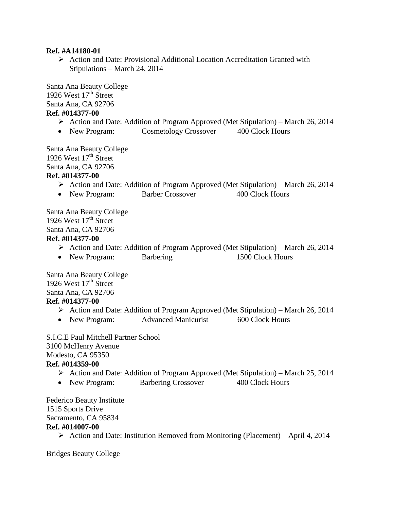#### **Ref. #A14180-01**

 $\triangleright$  Action and Date: Provisional Additional Location Accreditation Granted with Stipulations – March 24, 2014

Santa Ana Beauty College 1926 West  $17<sup>th</sup>$  Street Santa Ana, CA 92706 **Ref. #014377-00**

- Action and Date: Addition of Program Approved (Met Stipulation) March 26, 2014
- New Program: Cosmetology Crossover 400 Clock Hours

Santa Ana Beauty College 1926 West  $17<sup>th</sup>$  Street Santa Ana, CA 92706

#### **Ref. #014377-00**

- Action and Date: Addition of Program Approved (Met Stipulation) March 26, 2014
- New Program: Barber Crossover 400 Clock Hours

Santa Ana Beauty College 1926 West  $17<sup>th</sup>$  Street Santa Ana, CA 92706 **Ref. #014377-00**

- Action and Date: Addition of Program Approved (Met Stipulation) March 26, 2014
- New Program: Barbering 1500 Clock Hours

Santa Ana Beauty College 1926 West  $17<sup>th</sup>$  Street Santa Ana, CA 92706 **Ref. #014377-00**

- $\triangleright$  Action and Date: Addition of Program Approved (Met Stipulation) March 26, 2014
- New Program: Advanced Manicurist 600 Clock Hours

S.I.C.E Paul Mitchell Partner School 3100 McHenry Avenue Modesto, CA 95350 **Ref. #014359-00**

- $\triangleright$  Action and Date: Addition of Program Approved (Met Stipulation) March 25, 2014
- New Program: Barbering Crossover 400 Clock Hours

Federico Beauty Institute 1515 Sports Drive Sacramento, CA 95834 **Ref. #014007-00**

 $\triangleright$  Action and Date: Institution Removed from Monitoring (Placement) – April 4, 2014

Bridges Beauty College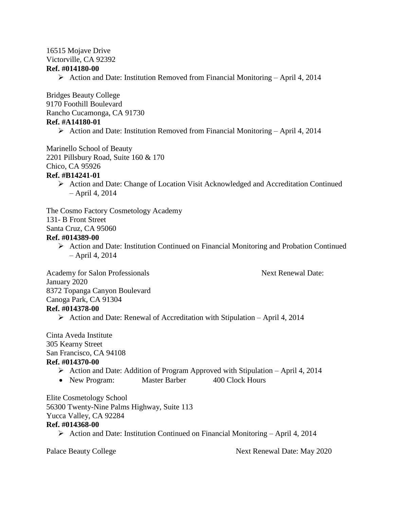#### 16515 Mojave Drive Victorville, CA 92392 **Ref. #014180-00**

 $\triangleright$  Action and Date: Institution Removed from Financial Monitoring – April 4, 2014

Bridges Beauty College 9170 Foothill Boulevard Rancho Cucamonga, CA 91730 **Ref. #A14180-01**

 $\triangleright$  Action and Date: Institution Removed from Financial Monitoring – April 4, 2014

Marinello School of Beauty 2201 Pillsbury Road, Suite 160 & 170 Chico, CA 95926 **Ref. #B14241-01**

 Action and Date: Change of Location Visit Acknowledged and Accreditation Continued – April 4, 2014

The Cosmo Factory Cosmetology Academy 131- B Front Street

Santa Cruz, CA 95060

#### **Ref. #014389-00**

 $\triangleright$  Action and Date: Institution Continued on Financial Monitoring and Probation Continued – April 4, 2014

Academy for Salon Professionals Next Renewal Date:

January 2020 8372 Topanga Canyon Boulevard Canoga Park, CA 91304 **Ref. #014378-00**

 $\triangleright$  Action and Date: Renewal of Accreditation with Stipulation – April 4, 2014

Cinta Aveda Institute 305 Kearny Street San Francisco, CA 94108 **Ref. #014370-00**

- $\triangleright$  Action and Date: Addition of Program Approved with Stipulation April 4, 2014
- New Program: Master Barber 400 Clock Hours

Elite Cosmetology School 56300 Twenty-Nine Palms Highway, Suite 113 Yucca Valley, CA 92284 **Ref. #014368-00**

 $\triangleright$  Action and Date: Institution Continued on Financial Monitoring – April 4, 2014

Palace Beauty College Next Renewal Date: May 2020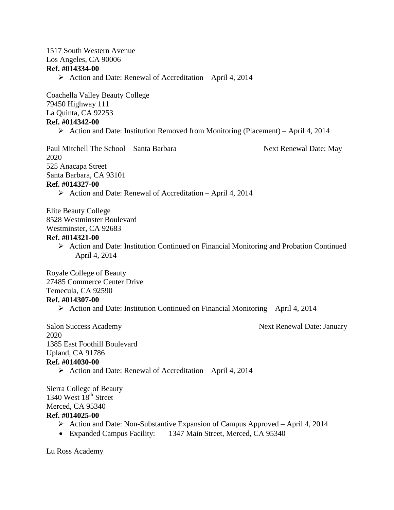#### 1517 South Western Avenue Los Angeles, CA 90006 **Ref. #014334-00**

Action and Date: Renewal of Accreditation – April 4, 2014

Coachella Valley Beauty College 79450 Highway 111 La Quinta, CA 92253 **Ref. #014342-00**

 $\triangleright$  Action and Date: Institution Removed from Monitoring (Placement) – April 4, 2014

Paul Mitchell The School – Santa Barbara Next Renewal Date: May 2020 525 Anacapa Street Santa Barbara, CA 93101

# **Ref. #014327-00**

 $\triangleright$  Action and Date: Renewal of Accreditation – April 4, 2014

Elite Beauty College 8528 Westminster Boulevard Westminster, CA 92683

#### **Ref. #014321-00**

 $\triangleright$  Action and Date: Institution Continued on Financial Monitoring and Probation Continued – April 4, 2014

Royale College of Beauty 27485 Commerce Center Drive Temecula, CA 92590 **Ref. #014307-00**

Action and Date: Institution Continued on Financial Monitoring – April 4, 2014

Salon Success Academy Next Renewal Date: January 2020 1385 East Foothill Boulevard Upland, CA 91786 **Ref. #014030-00**

 $\triangleright$  Action and Date: Renewal of Accreditation – April 4, 2014

Sierra College of Beauty 1340 West  $18<sup>th</sup>$  Street Merced, CA 95340 **Ref. #014025-00**

- $\triangleright$  Action and Date: Non-Substantive Expansion of Campus Approved April 4, 2014
- Expanded Campus Facility: 1347 Main Street, Merced, CA 95340

Lu Ross Academy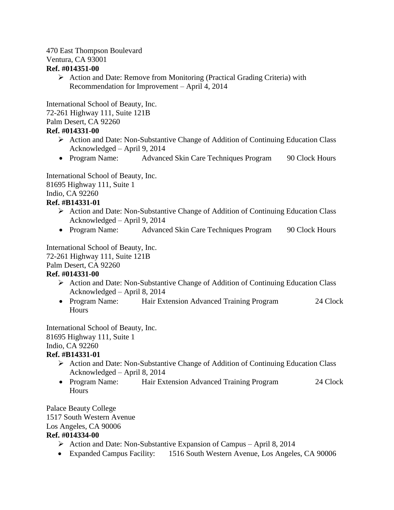# 470 East Thompson Boulevard Ventura, CA 93001

#### **Ref. #014351-00**

 $\triangleright$  Action and Date: Remove from Monitoring (Practical Grading Criteria) with Recommendation for Improvement – April 4, 2014

International School of Beauty, Inc. 72-261 Highway 111, Suite 121B Palm Desert, CA 92260 **Ref. #014331-00**

- Action and Date: Non-Substantive Change of Addition of Continuing Education Class Acknowledged – April 9, 2014
- Program Name: Advanced Skin Care Techniques Program 90 Clock Hours

International School of Beauty, Inc. 81695 Highway 111, Suite 1 Indio, CA 92260

## **Ref. #B14331-01**

- $\triangleright$  Action and Date: Non-Substantive Change of Addition of Continuing Education Class Acknowledged – April 9, 2014
- Program Name: Advanced Skin Care Techniques Program 90 Clock Hours

International School of Beauty, Inc. 72-261 Highway 111, Suite 121B Palm Desert, CA 92260 **Ref. #014331-00**

- $\triangleright$  Action and Date: Non-Substantive Change of Addition of Continuing Education Class Acknowledged – April 8, 2014
- Program Name: Hair Extension Advanced Training Program 24 Clock Hours

International School of Beauty, Inc. 81695 Highway 111, Suite 1 Indio, CA 92260

# **Ref. #B14331-01**

- $\triangleright$  Action and Date: Non-Substantive Change of Addition of Continuing Education Class Acknowledged – April 8, 2014
- Program Name: Hair Extension Advanced Training Program 24 Clock **Hours**

Palace Beauty College 1517 South Western Avenue Los Angeles, CA 90006

#### **Ref. #014334-00**

- Action and Date: Non-Substantive Expansion of Campus April 8, 2014
- Expanded Campus Facility: 1516 South Western Avenue, Los Angeles, CA 90006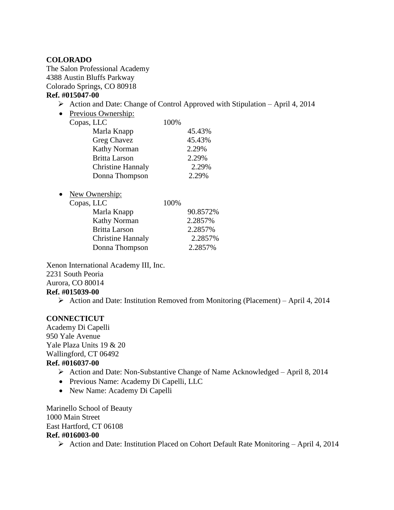#### **COLORADO**

The Salon Professional Academy 4388 Austin Bluffs Parkway Colorado Springs, CO 80918

### **Ref. #015047-00**

- $\triangleright$  Action and Date: Change of Control Approved with Stipulation April 4, 2014
- Previous Ownership:

| Copas, LLC               | 100% |        |
|--------------------------|------|--------|
| Marla Knapp              |      | 45.43% |
| Greg Chavez              |      | 45.43% |
| <b>Kathy Norman</b>      |      | 2.29%  |
| <b>Britta Larson</b>     |      | 2.29%  |
| <b>Christine Hannaly</b> |      | 2.29%  |
| Donna Thompson           |      | 2.29%  |

• New Ownership:

| Copas, LLC               | 100% |          |
|--------------------------|------|----------|
| Marla Knapp              |      | 90.8572% |
| <b>Kathy Norman</b>      |      | 2.2857%  |
| <b>Britta Larson</b>     |      | 2.2857%  |
| <b>Christine Hannaly</b> |      | 2.2857%  |
| Donna Thompson           |      | 2.2857%  |
|                          |      |          |

Xenon International Academy III, Inc. 2231 South Peoria Aurora, CO 80014 **Ref. #015039-00**

 $\triangleright$  Action and Date: Institution Removed from Monitoring (Placement) – April 4, 2014

#### **CONNECTICUT**

Academy Di Capelli 950 Yale Avenue Yale Plaza Units 19 & 20 Wallingford, CT 06492 **Ref. #016037-00**

- Action and Date: Non-Substantive Change of Name Acknowledged April 8, 2014
- Previous Name: Academy Di Capelli, LLC
- New Name: Academy Di Capelli

Marinello School of Beauty 1000 Main Street East Hartford, CT 06108 **Ref. #016003-00**

 $\triangleright$  Action and Date: Institution Placed on Cohort Default Rate Monitoring – April 4, 2014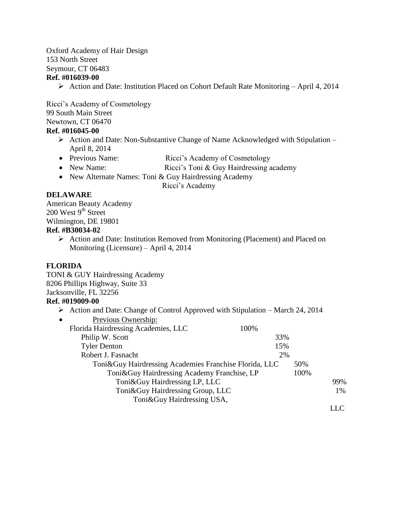Oxford Academy of Hair Design 153 North Street Seymour, CT 06483 **Ref. #016039-00**

Action and Date: Institution Placed on Cohort Default Rate Monitoring – April 4, 2014

Ricci's Academy of Cosmetology 99 South Main Street Newtown, CT 06470

#### **Ref. #016045-00**

- $\triangleright$  Action and Date: Non-Substantive Change of Name Acknowledged with Stipulation April 8, 2014
- Previous Name: Ricci's Academy of Cosmetology
- New Name: Ricci's Toni & Guy Hairdressing academy
- New Alternate Names: Toni & Guy Hairdressing Academy

Ricci's Academy

#### **DELAWARE**

American Beauty Academy  $200$  West  $9<sup>th</sup>$  Street Wilmington, DE 19801

## **Ref. #B30034-02**

Action and Date: Institution Removed from Monitoring (Placement) and Placed on Monitoring (Licensure) – April 4, 2014

#### **FLORIDA**

TONI & GUY Hairdressing Academy 8206 Phillips Highway, Suite 33 Jacksonville, FL 32256 **Ref. #019009-00**

 $\triangleright$  Action and Date: Change of Control Approved with Stipulation – March 24, 2014

| Previous Ownership:<br>$\bullet$                         |      |      |     |
|----------------------------------------------------------|------|------|-----|
| Florida Hairdressing Academies, LLC                      | 100% |      |     |
| Philip W. Scott                                          | 33%  |      |     |
| <b>Tyler Denton</b>                                      | 15%  |      |     |
| Robert J. Fasnacht                                       | 2%   |      |     |
| Toni & Guy Hairdressing Academies Franchise Florida, LLC |      | 50%  |     |
| Toni & Guy Hairdressing Academy Franchise, LP            |      | 100% |     |
| Toni & Guy Hairdressing LP, LLC                          |      |      | 99% |
| Toni&Guy Hairdressing Group, LLC                         |      |      | 1%  |
| Toni&Guy Hairdressing USA,                               |      |      |     |
|                                                          |      |      |     |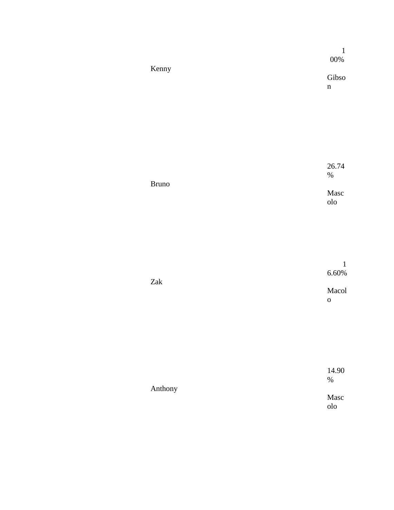|              | $\mathbf{1}$<br>$00\%$ |
|--------------|------------------------|
| Kenny        | Gibso<br>$\mathbf n$   |
|              |                        |
|              |                        |
|              | 26.74<br>$\%$          |
| <b>Bruno</b> | Masc<br>$_{\rm olo}$   |
|              |                        |
|              | $\mathbf 1$            |
| $\rm{Zak}$   | $6.60\%$<br>Macol      |
|              | $\mathbf 0$            |
|              |                        |
|              |                        |
| Anthony      | 14.90<br>$\%$          |
|              | Masc<br>$_{\rm olo}$   |
|              |                        |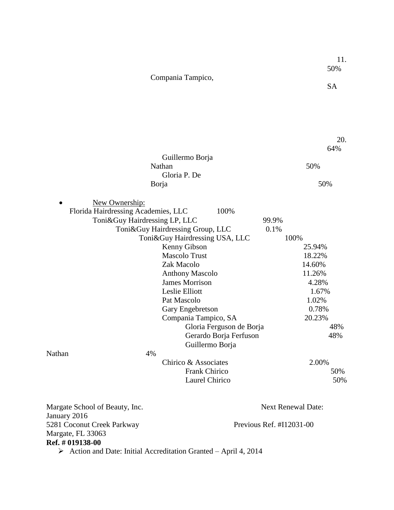|                   | 11. |
|-------------------|-----|
|                   | 50% |
| Compania Tampico, |     |
|                   | SА  |

|                                     |                                  |                          |       | 20.                       |
|-------------------------------------|----------------------------------|--------------------------|-------|---------------------------|
|                                     |                                  |                          |       | 64%                       |
|                                     | Guillermo Borja                  |                          |       |                           |
|                                     | Nathan                           |                          |       | 50%                       |
|                                     | Gloria P. De                     |                          |       |                           |
|                                     | Borja                            |                          |       | 50%                       |
| New Ownership:                      |                                  |                          |       |                           |
| Florida Hairdressing Academies, LLC |                                  | 100%                     |       |                           |
| Toni&Guy Hairdressing LP, LLC       |                                  |                          | 99.9% |                           |
|                                     | Toni&Guy Hairdressing Group, LLC |                          | 0.1%  |                           |
|                                     | Toni&Guy Hairdressing USA, LLC   |                          |       | 100%                      |
|                                     | Kenny Gibson                     |                          |       | 25.94%                    |
|                                     | <b>Mascolo Trust</b>             |                          |       | 18.22%                    |
|                                     | Zak Macolo                       |                          |       | 14.60%                    |
|                                     | <b>Anthony Mascolo</b>           |                          |       | 11.26%                    |
|                                     | <b>James Morrison</b>            |                          |       | 4.28%                     |
|                                     | Leslie Elliott                   |                          |       | 1.67%                     |
|                                     | Pat Mascolo                      |                          |       | 1.02%                     |
|                                     | Gary Engebretson                 |                          |       | 0.78%                     |
|                                     | Compania Tampico, SA             |                          |       | 20.23%                    |
|                                     |                                  | Gloria Ferguson de Borja |       | 48%                       |
|                                     |                                  | Gerardo Borja Ferfuson   |       | 48%                       |
|                                     | Guillermo Borja                  |                          |       |                           |
| 4%<br>Nathan                        |                                  |                          |       |                           |
|                                     | Chirico & Associates             |                          |       | 2.00%                     |
|                                     | <b>Frank Chirico</b>             |                          |       | 50%                       |
|                                     | Laurel Chirico                   |                          |       | 50%                       |
| Margate School of Beauty, Inc.      |                                  |                          |       | <b>Next Renewal Date:</b> |

January 2016 5281 Coconut Creek Parkway Previous Ref. #I12031-00 Margate, FL 33063 **Ref. # 019138-00**

Action and Date: Initial Accreditation Granted – April 4, 2014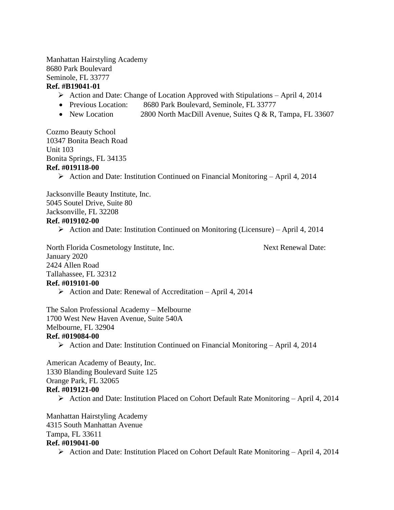Manhattan Hairstyling Academy 8680 Park Boulevard Seminole, FL 33777 **Ref. #B19041-01**

- $\triangleright$  Action and Date: Change of Location Approved with Stipulations April 4, 2014
- Previous Location: 8680 Park Boulevard, Seminole, FL 33777
- New Location 2800 North MacDill Avenue, Suites Q & R, Tampa, FL 33607

Cozmo Beauty School 10347 Bonita Beach Road Unit 103 Bonita Springs, FL 34135 **Ref. #019118-00**

Action and Date: Institution Continued on Financial Monitoring – April 4, 2014

Jacksonville Beauty Institute, Inc. 5045 Soutel Drive, Suite 80 Jacksonville, FL 32208 **Ref. #019102-00**

 $\triangleright$  Action and Date: Institution Continued on Monitoring (Licensure) – April 4, 2014

North Florida Cosmetology Institute, Inc. Next Renewal Date: January 2020 2424 Allen Road Tallahassee, FL 32312 **Ref. #019101-00**

 $\triangleright$  Action and Date: Renewal of Accreditation – April 4, 2014

The Salon Professional Academy – Melbourne 1700 West New Haven Avenue, Suite 540A Melbourne, FL 32904 **Ref. #019084-00**

 $\triangleright$  Action and Date: Institution Continued on Financial Monitoring – April 4, 2014

American Academy of Beauty, Inc. 1330 Blanding Boulevard Suite 125 Orange Park, FL 32065 **Ref. #019121-00** Action and Date: Institution Placed on Cohort Default Rate Monitoring – April 4, 2014

Manhattan Hairstyling Academy 4315 South Manhattan Avenue Tampa, FL 33611 **Ref. #019041-00**

 $\triangleright$  Action and Date: Institution Placed on Cohort Default Rate Monitoring – April 4, 2014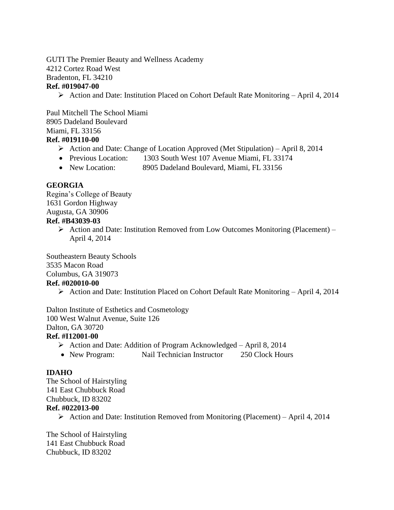#### GUTI The Premier Beauty and Wellness Academy 4212 Cortez Road West Bradenton, FL 34210 **Ref. #019047-00**

Action and Date: Institution Placed on Cohort Default Rate Monitoring – April 4, 2014

Paul Mitchell The School Miami 8905 Dadeland Boulevard Miami, FL 33156

#### **Ref. #019110-00**

- $\triangleright$  Action and Date: Change of Location Approved (Met Stipulation) April 8, 2014
- Previous Location: 1303 South West 107 Avenue Miami, FL 33174
- New Location: 8905 Dadeland Boulevard, Miami, FL 33156

#### **GEORGIA**

Regina's College of Beauty 1631 Gordon Highway Augusta, GA 30906 **Ref. #B43039-03**

> $\triangleright$  Action and Date: Institution Removed from Low Outcomes Monitoring (Placement) – April 4, 2014

Southeastern Beauty Schools 3535 Macon Road Columbus, GA 319073 **Ref. #020010-00**

 $\triangleright$  Action and Date: Institution Placed on Cohort Default Rate Monitoring – April 4, 2014

Dalton Institute of Esthetics and Cosmetology 100 West Walnut Avenue, Suite 126 Dalton, GA 30720

## **Ref. #I12001-00**

- $\triangleright$  Action and Date: Addition of Program Acknowledged April 8, 2014
- New Program: Nail Technician Instructor 250 Clock Hours

#### **IDAHO**

The School of Hairstyling 141 East Chubbuck Road Chubbuck, ID 83202 **Ref. #022013-00**

 $\triangleright$  Action and Date: Institution Removed from Monitoring (Placement) – April 4, 2014

The School of Hairstyling 141 East Chubbuck Road Chubbuck, ID 83202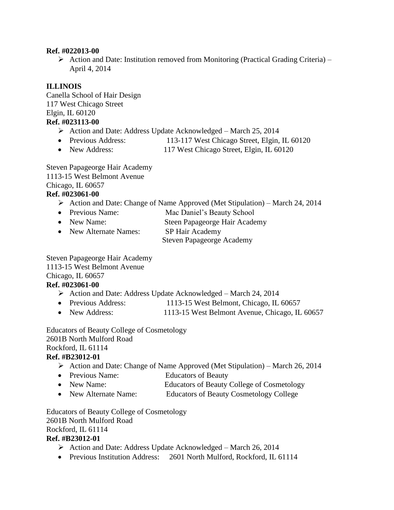#### **Ref. #022013-00**

 $\triangleright$  Action and Date: Institution removed from Monitoring (Practical Grading Criteria) – April 4, 2014

## **ILLINOIS**

Canella School of Hair Design 117 West Chicago Street Elgin, IL 60120 **Ref. #023113-00**

- $\triangleright$  Action and Date: Address Update Acknowledged March 25, 2014
- Previous Address: 113-117 West Chicago Street, Elgin, IL 60120
- New Address: 117 West Chicago Street, Elgin, IL 60120

Steven Papageorge Hair Academy 1113-15 West Belmont Avenue Chicago, IL 60657

# **Ref. #023061-00**

- $\triangleright$  Action and Date: Change of Name Approved (Met Stipulation) March 24, 2014
- Previous Name: Mac Daniel's Beauty School
- New Name: Steen Papageorge Hair Academy
- New Alternate Names: SP Hair Academy

Steven Papageorge Academy

Steven Papageorge Hair Academy 1113-15 West Belmont Avenue

Chicago, IL 60657

#### **Ref. #023061-00**

- $\triangleright$  Action and Date: Address Update Acknowledged March 24, 2014
- Previous Address: 1113-15 West Belmont, Chicago, IL 60657
- New Address: 1113-15 West Belmont Avenue, Chicago, IL 60657

Educators of Beauty College of Cosmetology 2601B North Mulford Road Rockford, IL 61114

# **Ref. #B23012-01**

- $\triangleright$  Action and Date: Change of Name Approved (Met Stipulation) March 26, 2014
- Previous Name: Educators of Beauty
- New Name: Educators of Beauty College of Cosmetology
- New Alternate Name: Educators of Beauty Cosmetology College

Educators of Beauty College of Cosmetology 2601B North Mulford Road Rockford, IL 61114 **Ref. #B23012-01**

- $\triangleright$  Action and Date: Address Update Acknowledged March 26, 2014
- Previous Institution Address: 2601 North Mulford, Rockford, IL 61114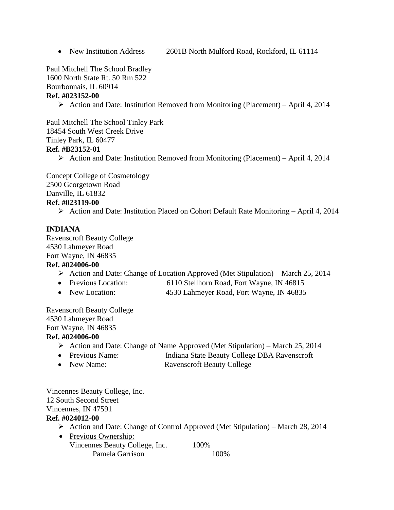• New Institution Address 2601B North Mulford Road, Rockford, IL 61114

Paul Mitchell The School Bradley

1600 North State Rt. 50 Rm 522

Bourbonnais, IL 60914

#### **Ref. #023152-00**

 $\triangleright$  Action and Date: Institution Removed from Monitoring (Placement) – April 4, 2014

Paul Mitchell The School Tinley Park 18454 South West Creek Drive Tinley Park, IL 60477 **Ref. #B23152-01**

 $\triangleright$  Action and Date: Institution Removed from Monitoring (Placement) – April 4, 2014

Concept College of Cosmetology 2500 Georgetown Road Danville, IL 61832 **Ref. #023119-00**

Action and Date: Institution Placed on Cohort Default Rate Monitoring – April 4, 2014

# **INDIANA**

Ravenscroft Beauty College 4530 Lahmeyer Road Fort Wayne, IN 46835

#### **Ref. #024006-00**

- Action and Date: Change of Location Approved (Met Stipulation) March 25, 2014
- Previous Location: 6110 Stellhorn Road, Fort Wayne, IN 46815
- New Location: 4530 Lahmeyer Road, Fort Wayne, IN 46835

Ravenscroft Beauty College 4530 Lahmeyer Road Fort Wayne, IN 46835

#### **Ref. #024006-00**

- $\triangleright$  Action and Date: Change of Name Approved (Met Stipulation) March 25, 2014
- Previous Name: Indiana State Beauty College DBA Ravenscroft
- New Name: Ravenscroft Beauty College

Vincennes Beauty College, Inc. 12 South Second Street Vincennes, IN 47591 **Ref. #024012-00**

- $\triangleright$  Action and Date: Change of Control Approved (Met Stipulation) March 28, 2014
- Previous Ownership: Vincennes Beauty College, Inc. 100% Pamela Garrison 100%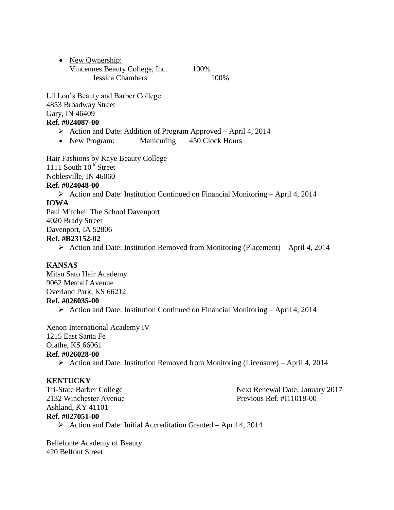| • New Ownership:               |      |
|--------------------------------|------|
| Vincennes Beauty College, Inc. | 100% |
| Jessica Chambers               | 100% |

Lil Lou's Beauty and Barber College 4853 Broadway Street Gary, IN 46409

#### **Ref. #024087-00**

- $\triangleright$  Action and Date: Addition of Program Approved April 4, 2014
- New Program: Manicuring 450 Clock Hours

Hair Fashions by Kaye Beauty College 1111 South  $10^{th}$  Street Noblesville, IN 46060

#### **Ref. #024048-00**

 $\triangleright$  Action and Date: Institution Continued on Financial Monitoring – April 4, 2014

#### **IOWA**

Paul Mitchell The School Davenport 4020 Brady Street Davenport, IA 52806 **Ref. #B23152-02**

 $\triangleright$  Action and Date: Institution Removed from Monitoring (Placement) – April 4, 2014

#### **KANSAS**

Mitsu Sato Hair Academy 9062 Metcalf Avenue Overland Park, KS 66212 **Ref. #026035-00**  $\triangleright$  Action and Date: Institution Continued on Financial Monitoring – April 4, 2014

Xenon International Academy IV 1215 East Santa Fe Olathe, KS 66061 **Ref. #026028-00**

 $\triangleright$  Action and Date: Institution Removed from Monitoring (Licensure) – April 4, 2014

#### **KENTUCKY**

2132 Winchester Avenue Previous Ref. #I11018-00 Ashland, KY 41101 **Ref. #027051-00**

Tri-State Barber College Next Renewal Date: January 2017

 $\triangleright$  Action and Date: Initial Accreditation Granted – April 4, 2014

Bellefonte Academy of Beauty 420 Belfont Street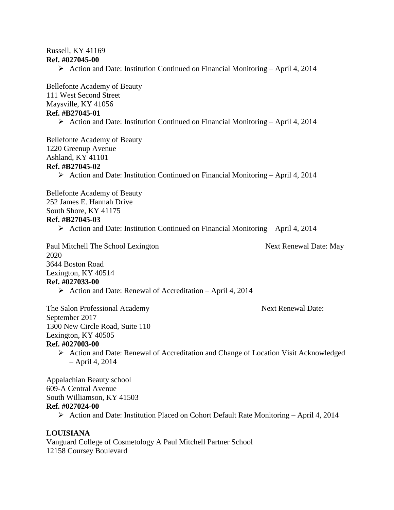# Russell, KY 41169

#### **Ref. #027045-00**

 $\triangleright$  Action and Date: Institution Continued on Financial Monitoring – April 4, 2014

Bellefonte Academy of Beauty 111 West Second Street Maysville, KY 41056 **Ref. #B27045-01**

Action and Date: Institution Continued on Financial Monitoring – April 4, 2014

Bellefonte Academy of Beauty 1220 Greenup Avenue Ashland, KY 41101 **Ref. #B27045-02**

 $\triangleright$  Action and Date: Institution Continued on Financial Monitoring – April 4, 2014

Bellefonte Academy of Beauty 252 James E. Hannah Drive South Shore, KY 41175 **Ref. #B27045-03**

 $\triangleright$  Action and Date: Institution Continued on Financial Monitoring – April 4, 2014

Paul Mitchell The School Lexington Next Renewal Date: May 2020 3644 Boston Road Lexington, KY 40514 **Ref. #027033-00**

 $\triangleright$  Action and Date: Renewal of Accreditation – April 4, 2014

The Salon Professional Academy Next Renewal Date: September 2017 1300 New Circle Road, Suite 110 Lexington, KY 40505

#### **Ref. #027003-00**

 Action and Date: Renewal of Accreditation and Change of Location Visit Acknowledged – April 4, 2014

Appalachian Beauty school 609-A Central Avenue South Williamson, KY 41503 **Ref. #027024-00**

 $\triangleright$  Action and Date: Institution Placed on Cohort Default Rate Monitoring – April 4, 2014

#### **LOUISIANA**

Vanguard College of Cosmetology A Paul Mitchell Partner School 12158 Coursey Boulevard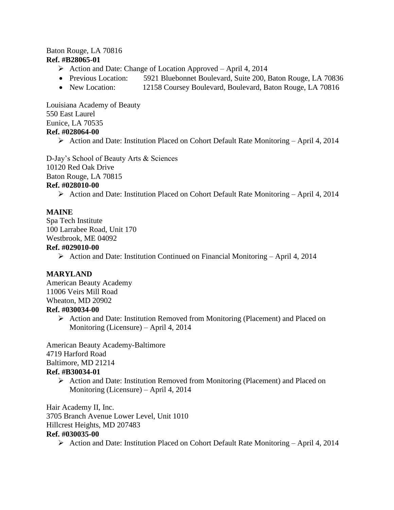#### Baton Rouge, LA 70816 **Ref. #B28065-01**

- $\triangleright$  Action and Date: Change of Location Approved April 4, 2014
- Previous Location: 5921 Bluebonnet Boulevard, Suite 200, Baton Rouge, LA 70836
- New Location: 12158 Coursey Boulevard, Boulevard, Baton Rouge, LA 70816

Louisiana Academy of Beauty 550 East Laurel Eunice, LA 70535 **Ref. #028064-00**

Action and Date: Institution Placed on Cohort Default Rate Monitoring – April 4, 2014

D-Jay's School of Beauty Arts & Sciences 10120 Red Oak Drive Baton Rouge, LA 70815

#### **Ref. #028010-00**

 $\triangleright$  Action and Date: Institution Placed on Cohort Default Rate Monitoring – April 4, 2014

#### **MAINE**

Spa Tech Institute 100 Larrabee Road, Unit 170 Westbrook, ME 04092

#### **Ref. #029010-00**

Action and Date: Institution Continued on Financial Monitoring – April 4, 2014

#### **MARYLAND**

American Beauty Academy 11006 Veirs Mill Road Wheaton, MD 20902 **Ref. #030034-00**

> Action and Date: Institution Removed from Monitoring (Placement) and Placed on Monitoring (Licensure) – April 4, 2014

American Beauty Academy-Baltimore 4719 Harford Road Baltimore, MD 21214 **Ref. #B30034-01**

 Action and Date: Institution Removed from Monitoring (Placement) and Placed on Monitoring (Licensure) – April 4, 2014

Hair Academy II, Inc. 3705 Branch Avenue Lower Level, Unit 1010 Hillcrest Heights, MD 207483 **Ref. #030035-00**

Action and Date: Institution Placed on Cohort Default Rate Monitoring – April 4, 2014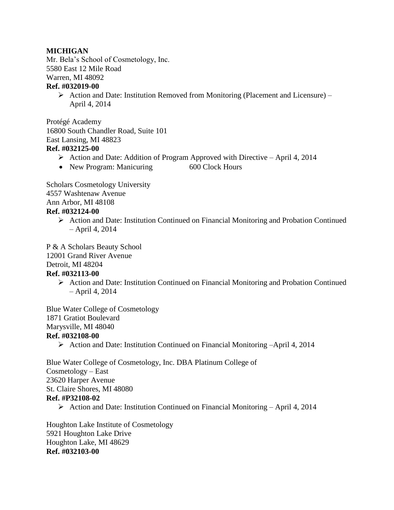#### **MICHIGAN**

Mr. Bela's School of Cosmetology, Inc. 5580 East 12 Mile Road Warren, MI 48092 **Ref. #032019-00**

 $\triangleright$  Action and Date: Institution Removed from Monitoring (Placement and Licensure) – April 4, 2014

Protégé Academy 16800 South Chandler Road, Suite 101 East Lansing, MI 48823 **Ref. #032125-00**

- $\triangleright$  Action and Date: Addition of Program Approved with Directive April 4, 2014
- New Program: Manicuring 600 Clock Hours

Scholars Cosmetology University 4557 Washtenaw Avenue Ann Arbor, MI 48108 **Ref. #032124-00**

 Action and Date: Institution Continued on Financial Monitoring and Probation Continued – April 4, 2014

P & A Scholars Beauty School 12001 Grand River Avenue Detroit, MI 48204 **Ref. #032113-00**

> $\triangleright$  Action and Date: Institution Continued on Financial Monitoring and Probation Continued – April 4, 2014

Blue Water College of Cosmetology 1871 Gratiot Boulevard Marysville, MI 48040 **Ref. #032108-00**

Action and Date: Institution Continued on Financial Monitoring  $-Apri14$ , 2014

Blue Water College of Cosmetology, Inc. DBA Platinum College of Cosmetology – East 23620 Harper Avenue St. Claire Shores, MI 48080 **Ref. #P32108-02**

 $\triangleright$  Action and Date: Institution Continued on Financial Monitoring – April 4, 2014

Houghton Lake Institute of Cosmetology 5921 Houghton Lake Drive Houghton Lake, MI 48629 **Ref. #032103-00**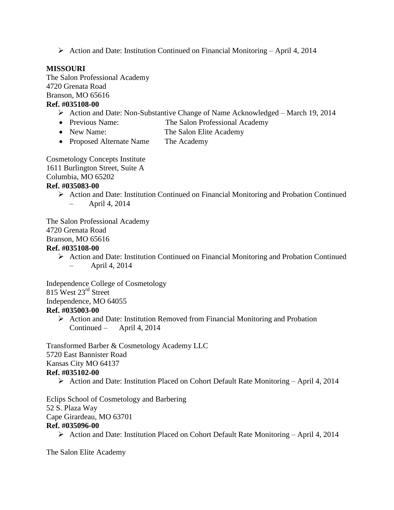Action and Date: Institution Continued on Financial Monitoring – April 4, 2014

#### **MISSOURI**

The Salon Professional Academy 4720 Grenata Road Branson, MO 65616 **Ref. #035108-00**

# Action and Date: Non-Substantive Change of Name Acknowledged – March 19, 2014

- Previous Name: The Salon Professional Academy
- New Name: The Salon Elite Academy
- Proposed Alternate Name The Academy

Cosmetology Concepts Institute 1611 Burlington Street, Suite A Columbia, MO 65202

# **Ref. #035083-00**

- $\triangleright$  Action and Date: Institution Continued on Financial Monitoring and Probation Continued
	- April 4, 2014

The Salon Professional Academy 4720 Grenata Road

Branson, MO 65616

# **Ref. #035108-00**

 $\triangleright$  Action and Date: Institution Continued on Financial Monitoring and Probation Continued – April 4, 2014

Independence College of Cosmetology 815 West 23rd Street Independence, MO 64055

# **Ref. #035003-00**

 $\triangleright$  Action and Date: Institution Removed from Financial Monitoring and Probation Continued – April 4, 2014

Transformed Barber & Cosmetology Academy LLC 5720 East Bannister Road Kansas City MO 64137 **Ref. #035102-00**

 $\triangleright$  Action and Date: Institution Placed on Cohort Default Rate Monitoring – April 4, 2014

Eclips School of Cosmetology and Barbering 52 S. Plaza Way Cape Girardeau, MO 63701 **Ref. #035096-00**

Action and Date: Institution Placed on Cohort Default Rate Monitoring – April 4, 2014

The Salon Elite Academy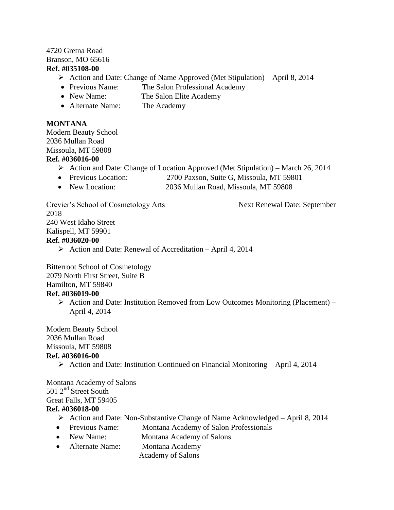#### 4720 Gretna Road Branson, MO 65616 **Ref. #035108-00**

- $\triangleright$  Action and Date: Change of Name Approved (Met Stipulation) April 8, 2014
- Previous Name: The Salon Professional Academy
- New Name: The Salon Elite Academy
- Alternate Name: The Academy

#### **MONTANA**

Modern Beauty School 2036 Mullan Road Missoula, MT 59808 **Ref. #036016-00**

- $\triangleright$  Action and Date: Change of Location Approved (Met Stipulation) March 26, 2014
- Previous Location: 2700 Paxson, Suite G, Missoula, MT 59801
- New Location: 2036 Mullan Road, Missoula, MT 59808

Crevier's School of Cosmetology Arts Next Renewal Date: September 2018 240 West Idaho Street Kalispell, MT 59901 **Ref. #036020-00**  $\triangleright$  Action and Date: Renewal of Accreditation – April 4, 2014

Bitterroot School of Cosmetology 2079 North First Street, Suite B Hamilton, MT 59840

#### **Ref. #036019-00**

Action and Date: Institution Removed from Low Outcomes Monitoring (Placement) – April 4, 2014

Modern Beauty School 2036 Mullan Road Missoula, MT 59808 **Ref. #036016-00**

 $\triangleright$  Action and Date: Institution Continued on Financial Monitoring – April 4, 2014

Montana Academy of Salons  $501$   $2<sup>nd</sup>$  Street South Great Falls, MT 59405 **Ref. #036018-00**

- Action and Date: Non-Substantive Change of Name Acknowledged April 8, 2014
- Previous Name: Montana Academy of Salon Professionals
- New Name: Montana Academy of Salons
- Alternate Name: Montana Academy
	- Academy of Salons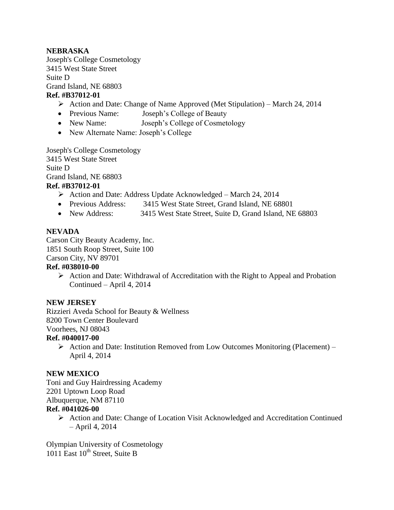#### **NEBRASKA**

Joseph's College Cosmetology 3415 West State Street Suite D Grand Island, NE 68803 **Ref. #B37012-01**

- $\triangleright$  Action and Date: Change of Name Approved (Met Stipulation) March 24, 2014
- Previous Name: Joseph's College of Beauty
- New Name: Joseph's College of Cosmetology
- New Alternate Name: Joseph's College

Joseph's College Cosmetology 3415 West State Street Suite D

Grand Island, NE 68803

#### **Ref. #B37012-01**

- $\triangleright$  Action and Date: Address Update Acknowledged March 24, 2014
- Previous Address: 3415 West State Street, Grand Island, NE 68801
- New Address: 3415 West State Street, Suite D, Grand Island, NE 68803

#### **NEVADA**

Carson City Beauty Academy, Inc. 1851 South Roop Street, Suite 100 Carson City, NV 89701

#### **Ref. #038010-00**

 $\triangleright$  Action and Date: Withdrawal of Accreditation with the Right to Appeal and Probation Continued – April 4, 2014

#### **NEW JERSEY**

Rizzieri Aveda School for Beauty & Wellness 8200 Town Center Boulevard Voorhees, NJ 08043

#### **Ref. #040017-00**

 $\triangleright$  Action and Date: Institution Removed from Low Outcomes Monitoring (Placement) – April 4, 2014

#### **NEW MEXICO**

Toni and Guy Hairdressing Academy 2201 Uptown Loop Road Albuquerque, NM 87110 **Ref. #041026-00**

> $\triangleright$  Action and Date: Change of Location Visit Acknowledged and Accreditation Continued – April 4, 2014

Olympian University of Cosmetology 1011 East 10<sup>th</sup> Street, Suite B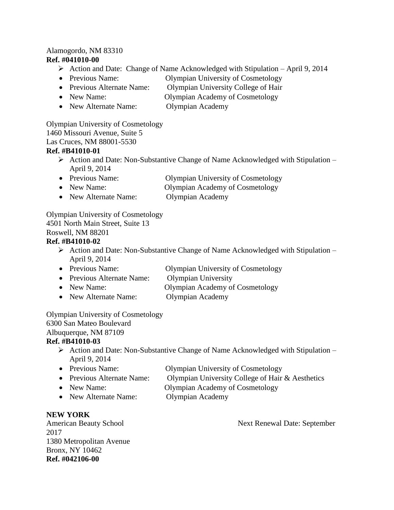#### Alamogordo, NM 83310

#### **Ref. #041010-00**

- $\triangleright$  Action and Date: Change of Name Acknowledged with Stipulation April 9, 2014
- Previous Name: Olympian University of Cosmetology
- Previous Alternate Name: Olympian University College of Hair
- New Name: Olympian Academy of Cosmetology
- New Alternate Name: Olympian Academy

Olympian University of Cosmetology 1460 Missouri Avenue, Suite 5

Las Cruces, NM 88001-5530

#### **Ref. #B41010-01**

- $\triangleright$  Action and Date: Non-Substantive Change of Name Acknowledged with Stipulation April 9, 2014
- Previous Name: Olympian University of Cosmetology
- New Name: Olympian Academy of Cosmetology
- New Alternate Name: Olympian Academy

Olympian University of Cosmetology 4501 North Main Street, Suite 13 Roswell, NM 88201

#### **Ref. #B41010-02**

- $\triangleright$  Action and Date: Non-Substantive Change of Name Acknowledged with Stipulation April 9, 2014
- Previous Name: Olympian University of Cosmetology
- Previous Alternate Name: Olympian University
- New Name: Olympian Academy of Cosmetology
- New Alternate Name: Olympian Academy

Olympian University of Cosmetology 6300 San Mateo Boulevard Albuquerque, NM 87109 **Ref. #B41010-03**

- $\triangleright$  Action and Date: Non-Substantive Change of Name Acknowledged with Stipulation April 9, 2014
- Previous Name: Olympian University of Cosmetology
- Previous Alternate Name: Olympian University College of Hair & Aesthetics • New Name: Olympian Academy of Cosmetology
- New Alternate Name: Olympian Academy

#### **NEW YORK**

2017 1380 Metropolitan Avenue Bronx, NY 10462 **Ref. #042106-00**

American Beauty School Next Renewal Date: September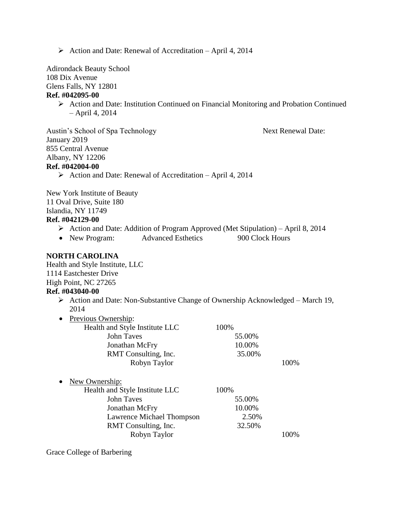$\triangleright$  Action and Date: Renewal of Accreditation – April 4, 2014

Adirondack Beauty School

108 Dix Avenue

Glens Falls, NY 12801

#### **Ref. #042095-00**

 $\triangleright$  Action and Date: Institution Continued on Financial Monitoring and Probation Continued – April 4, 2014

Austin's School of Spa Technology Next Renewal Date: January 2019 855 Central Avenue Albany, NY 12206 **Ref. #042004-00**  $\triangleright$  Action and Date: Renewal of Accreditation – April 4, 2014

New York Institute of Beauty 11 Oval Drive, Suite 180 Islandia, NY 11749 **Ref. #042129-00**

- $\triangleright$  Action and Date: Addition of Program Approved (Met Stipulation) April 8, 2014
- New Program: Advanced Esthetics 900 Clock Hours

#### **NORTH CAROLINA**

Health and Style Institute, LLC 1114 Eastchester Drive High Point, NC 27265

#### **Ref. #043040-00**

 $\triangleright$  Action and Date: Non-Substantive Change of Ownership Acknowledged – March 19, 2014

| Health and Style Institute LLC | 100%   |      |
|--------------------------------|--------|------|
| John Taves                     | 55.00% |      |
| Jonathan McFry                 | 10.00% |      |
| RMT Consulting, Inc.           | 35.00% |      |
| Robyn Taylor                   |        | 100% |

| $\bullet$ | New Ownership:                 |        |      |
|-----------|--------------------------------|--------|------|
|           | Health and Style Institute LLC | 100%   |      |
|           | <b>John Taves</b>              | 55.00% |      |
|           | Jonathan McFry                 | 10.00% |      |
|           | Lawrence Michael Thompson      | 2.50%  |      |
|           | RMT Consulting, Inc.           | 32.50% |      |
|           | Robyn Taylor                   |        | 100% |

Grace College of Barbering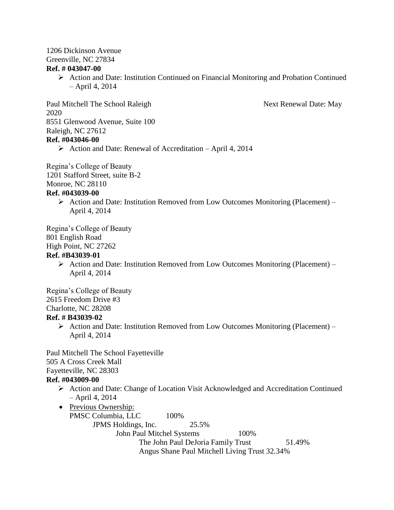# 1206 Dickinson Avenue

Greenville, NC 27834

#### **Ref. # 043047-00**

 $\triangleright$  Action and Date: Institution Continued on Financial Monitoring and Probation Continued – April 4, 2014

Paul Mitchell The School Raleigh Next Renewal Date: May 2020 8551 Glenwood Avenue, Suite 100 Raleigh, NC 27612 **Ref. #043046-00**

 $\triangleright$  Action and Date: Renewal of Accreditation – April 4, 2014

Regina's College of Beauty 1201 Stafford Street, suite B-2 Monroe, NC 28110

#### **Ref. #043039-00**

 $\triangleright$  Action and Date: Institution Removed from Low Outcomes Monitoring (Placement) – April 4, 2014

Regina's College of Beauty

#### 801 English Road

High Point, NC 27262

#### **Ref. #B43039-01**

 $\triangleright$  Action and Date: Institution Removed from Low Outcomes Monitoring (Placement) – April 4, 2014

Regina's College of Beauty 2615 Freedom Drive #3 Charlotte, NC 28208

#### **Ref. # B43039-02**

 $\triangleright$  Action and Date: Institution Removed from Low Outcomes Monitoring (Placement) – April 4, 2014

Paul Mitchell The School Fayetteville 505 A Cross Creek Mall Fayetteville, NC 28303

#### **Ref. #043009-00**

- Action and Date: Change of Location Visit Acknowledged and Accreditation Continued – April 4, 2014
- Previous Ownership: PMSC Columbia, LLC 100% JPMS Holdings, Inc. 25.5% John Paul Mitchel Systems 100% The John Paul DeJoria Family Trust 51.49% Angus Shane Paul Mitchell Living Trust 32.34%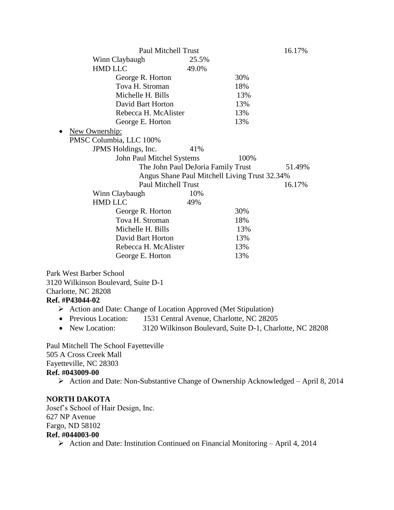|                                                                                     | <b>Paul Mitchell Trust</b>                               |      | 16.17% |
|-------------------------------------------------------------------------------------|----------------------------------------------------------|------|--------|
| Winn Claybaugh                                                                      | 25.5%                                                    |      |        |
| <b>HMD LLC</b>                                                                      | 49.0%                                                    |      |        |
| George R. Horton                                                                    |                                                          | 30%  |        |
| Tova H. Stroman                                                                     |                                                          | 18%  |        |
| Michelle H. Bills                                                                   |                                                          | 13%  |        |
| David Bart Horton                                                                   |                                                          | 13%  |        |
| Rebecca H. McAlister                                                                |                                                          | 13%  |        |
| George E. Horton                                                                    |                                                          | 13%  |        |
| New Ownership:                                                                      |                                                          |      |        |
| PMSC Columbia, LLC 100%                                                             |                                                          |      |        |
| JPMS Holdings, Inc.                                                                 | 41%                                                      |      |        |
|                                                                                     | John Paul Mitchel Systems                                | 100% |        |
|                                                                                     | The John Paul DeJoria Family Trust                       |      | 51.49% |
|                                                                                     | Angus Shane Paul Mitchell Living Trust 32.34%            |      |        |
|                                                                                     | <b>Paul Mitchell Trust</b>                               |      | 16.17% |
| Winn Claybaugh                                                                      | 10%                                                      |      |        |
| <b>HMD LLC</b>                                                                      | 49%                                                      |      |        |
| George R. Horton                                                                    |                                                          | 30%  |        |
| Tova H. Stroman                                                                     |                                                          | 18%  |        |
| Michelle H. Bills                                                                   |                                                          | 13%  |        |
| David Bart Horton                                                                   |                                                          | 13%  |        |
| Rebecca H. McAlister                                                                |                                                          | 13%  |        |
| George E. Horton                                                                    |                                                          | 13%  |        |
|                                                                                     |                                                          |      |        |
| Park West Barber School                                                             |                                                          |      |        |
| 3120 Wilkinson Boulevard, Suite D-1                                                 |                                                          |      |        |
| Charlotte, NC 28208                                                                 |                                                          |      |        |
| Ref. #P43044-02                                                                     |                                                          |      |        |
| $\triangleright$ Action and Date: Change of Location Approved (Met Stipulation)     |                                                          |      |        |
| Previous Location:<br>$\bullet$                                                     | 1531 Central Avenue, Charlotte, NC 28205                 |      |        |
| New Location:                                                                       | 3120 Wilkinson Boulevard, Suite D-1, Charlotte, NC 28208 |      |        |
| Paul Mitchell The School Fayetteville                                               |                                                          |      |        |
| 505 A Cross Creek Mall                                                              |                                                          |      |        |
| Fayetteville, NC 28303                                                              |                                                          |      |        |
| Ref. #043009-00                                                                     |                                                          |      |        |
| > Action and Date: Non-Substantive Change of Ownership Acknowledged - April 8, 2014 |                                                          |      |        |
| <b>NORTH DAKOTA</b>                                                                 |                                                          |      |        |
| Josef's School of Hair Design, Inc.                                                 |                                                          |      |        |
|                                                                                     |                                                          |      |        |

627 NP Avenue Fargo, ND 58102

# **Ref. #044003-00**

Action and Date: Institution Continued on Financial Monitoring – April 4, 2014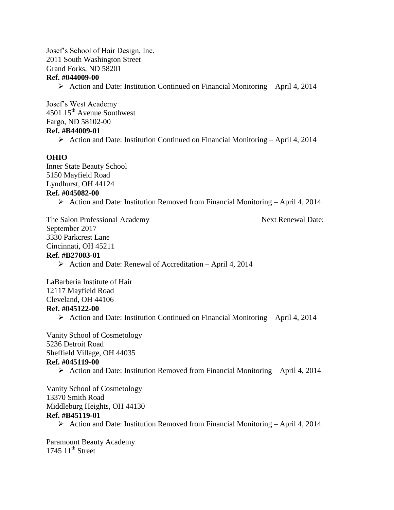Josef's School of Hair Design, Inc. 2011 South Washington Street Grand Forks, ND 58201 **Ref. #044009-00**

Action and Date: Institution Continued on Financial Monitoring – April 4, 2014

Josef's West Academy 4501 15<sup>th</sup> Avenue Southwest Fargo, ND 58102-00 **Ref. #B44009-01**  $\triangleright$  Action and Date: Institution Continued on Financial Monitoring – April 4, 2014

#### **OHIO**

Inner State Beauty School 5150 Mayfield Road Lyndhurst, OH 44124 **Ref. #045082-00**

 $\triangleright$  Action and Date: Institution Removed from Financial Monitoring – April 4, 2014

The Salon Professional Academy Next Renewal Date: September 2017 3330 Parkcrest Lane Cincinnati, OH 45211 **Ref. #B27003-01**

 $\triangleright$  Action and Date: Renewal of Accreditation – April 4, 2014

LaBarberia Institute of Hair 12117 Mayfield Road Cleveland, OH 44106 **Ref. #045122-00**

 $\triangleright$  Action and Date: Institution Continued on Financial Monitoring – April 4, 2014

Vanity School of Cosmetology 5236 Detroit Road Sheffield Village, OH 44035 **Ref. #045119-00**

Action and Date: Institution Removed from Financial Monitoring – April 4, 2014

Vanity School of Cosmetology 13370 Smith Road Middleburg Heights, OH 44130 **Ref. #B45119-01**

 $\triangleright$  Action and Date: Institution Removed from Financial Monitoring – April 4, 2014

Paramount Beauty Academy 1745  $11^{th}$  Street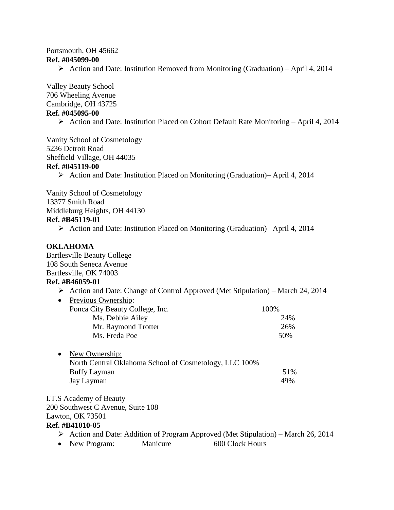#### Portsmouth, OH 45662 **Ref. #045099-00**

Action and Date: Institution Removed from Monitoring (Graduation) – April 4, 2014

Valley Beauty School 706 Wheeling Avenue Cambridge, OH 43725 **Ref. #045095-00**

Action and Date: Institution Placed on Cohort Default Rate Monitoring – April 4, 2014

Vanity School of Cosmetology 5236 Detroit Road Sheffield Village, OH 44035 **Ref. #045119-00**

Action and Date: Institution Placed on Monitoring (Graduation)– April 4, 2014

Vanity School of Cosmetology 13377 Smith Road Middleburg Heights, OH 44130 **Ref. #B45119-01**

Action and Date: Institution Placed on Monitoring (Graduation)– April 4, 2014

#### **OKLAHOMA**

Bartlesville Beauty College 108 South Seneca Avenue Bartlesville, OK 74003

#### **Ref. #B46059-01**

- Action and Date: Change of Control Approved (Met Stipulation) March 24, 2014
- Previous Ownership: Ponca City Beauty College, Inc. 100% Ms. Debbie Ailey 24% Mr. Raymond Trotter 26% Ms. Freda Poe 50%
- New Ownership: North Central Oklahoma School of Cosmetology, LLC 100% Buffy Layman 51% Jay Layman 49%

I.T.S Academy of Beauty 200 Southwest C Avenue, Suite 108 Lawton, OK 73501

**Ref. #B41010-05**

- $\triangleright$  Action and Date: Addition of Program Approved (Met Stipulation) March 26, 2014
- New Program: Manicure 600 Clock Hours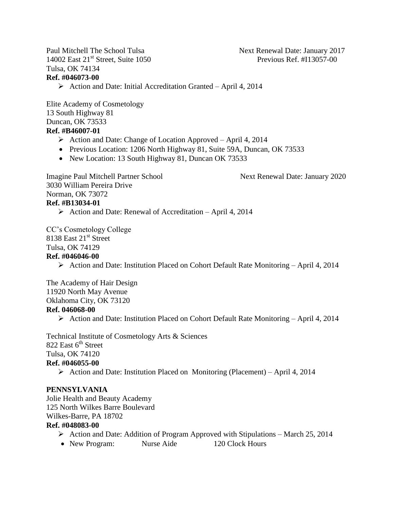Paul Mitchell The School Tulsa Next Renewal Date: January 2017 14002 East 21<sup>st</sup> Street, Suite 1050 Previous Ref. #I13057-00 Tulsa, OK 74134 **Ref. #046073-00**

 $\triangleright$  Action and Date: Initial Accreditation Granted – April 4, 2014

Elite Academy of Cosmetology 13 South Highway 81 Duncan, OK 73533 **Ref. #B46007-01**

- $\triangleright$  Action and Date: Change of Location Approved April 4, 2014
- Previous Location: 1206 North Highway 81, Suite 59A, Duncan, OK 73533
- New Location: 13 South Highway 81, Duncan OK 73533

Imagine Paul Mitchell Partner School Next Renewal Date: January 2020

3030 William Pereira Drive Norman, OK 73072 **Ref. #B13034-01**

 $\triangleright$  Action and Date: Renewal of Accreditation – April 4, 2014

CC's Cosmetology College 8138 East 21<sup>st</sup> Street Tulsa, OK 74129

#### **Ref. #046046-00**

Action and Date: Institution Placed on Cohort Default Rate Monitoring – April 4, 2014

The Academy of Hair Design 11920 North May Avenue Oklahoma City, OK 73120 **Ref. 046068-00**

Action and Date: Institution Placed on Cohort Default Rate Monitoring – April 4, 2014

Technical Institute of Cosmetology Arts & Sciences 822 East  $6<sup>th</sup>$  Street Tulsa, OK 74120 **Ref. #046055-00**  $\triangleright$  Action and Date: Institution Placed on Monitoring (Placement) – April 4, 2014

#### **PENNSYLVANIA**

Jolie Health and Beauty Academy 125 North Wilkes Barre Boulevard Wilkes-Barre, PA 18702

#### **Ref. #048083-00**

- $\triangleright$  Action and Date: Addition of Program Approved with Stipulations March 25, 2014
- New Program: Nurse Aide 120 Clock Hours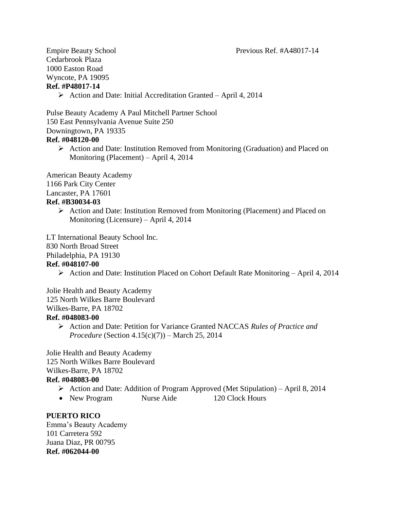Cedarbrook Plaza 1000 Easton Road Wyncote, PA 19095 **Ref. #P48017-14**

 $\triangleright$  Action and Date: Initial Accreditation Granted – April 4, 2014

Pulse Beauty Academy A Paul Mitchell Partner School 150 East Pennsylvania Avenue Suite 250 Downingtown, PA 19335 **Ref. #048120-00**

 Action and Date: Institution Removed from Monitoring (Graduation) and Placed on Monitoring (Placement) – April 4, 2014

American Beauty Academy 1166 Park City Center

Lancaster, PA 17601

#### **Ref. #B30034-03**

 $\triangleright$  Action and Date: Institution Removed from Monitoring (Placement) and Placed on Monitoring (Licensure) – April 4, 2014

LT International Beauty School Inc.

830 North Broad Street

Philadelphia, PA 19130

#### **Ref. #048107-00**

Action and Date: Institution Placed on Cohort Default Rate Monitoring – April 4, 2014

Jolie Health and Beauty Academy 125 North Wilkes Barre Boulevard

Wilkes-Barre, PA 18702

#### **Ref. #048083-00**

 Action and Date: Petition for Variance Granted NACCAS *Rules of Practice and Procedure* (Section 4.15(c)(7)) – March 25, 2014

Jolie Health and Beauty Academy 125 North Wilkes Barre Boulevard Wilkes-Barre, PA 18702

#### **Ref. #048083-00**

- $\triangleright$  Action and Date: Addition of Program Approved (Met Stipulation) April 8, 2014
- New Program Nurse Aide 120 Clock Hours

#### **PUERTO RICO**

Emma's Beauty Academy 101 Carretera 592 Juana Diaz, PR 00795 **Ref. #062044-00**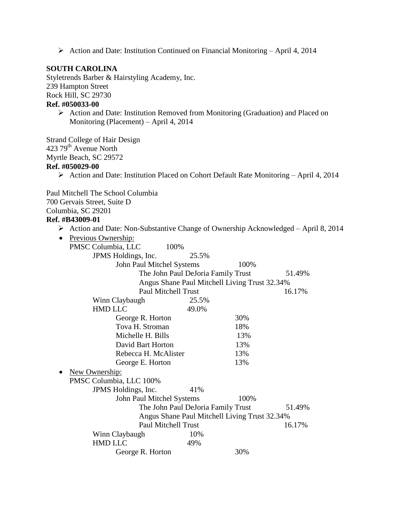Action and Date: Institution Continued on Financial Monitoring – April 4, 2014

#### **SOUTH CAROLINA**

Styletrends Barber & Hairstyling Academy, Inc. 239 Hampton Street Rock Hill, SC 29730

## **Ref. #050033-00**

 $\triangleright$  Action and Date: Institution Removed from Monitoring (Graduation) and Placed on Monitoring (Placement) – April 4, 2014

Strand College of Hair Design 423 79th Avenue North Myrtle Beach, SC 29572 **Ref. #050029-00**

 $\triangleright$  Action and Date: Institution Placed on Cohort Default Rate Monitoring – April 4, 2014

Paul Mitchell The School Columbia

700 Gervais Street, Suite D

#### **Ref. #B43009-01**

Columbia, SC 29201 Action and Date: Non-Substantive Change of Ownership Acknowledged – April 8, 2014 • Previous Ownership: PMSC Columbia, LLC 100% JPMS Holdings, Inc. 25.5% John Paul Mitchel Systems 100% The John Paul DeJoria Family Trust 51.49% Angus Shane Paul Mitchell Living Trust 32.34% Paul Mitchell Trust 16.17% Winn Claybaugh 25.5% HMD LLC 49.0% George R. Horton 30% Tova H. Stroman 18% Michelle H. Bills 13% David Bart Horton 13% Rebecca H. McAlister 13% George E. Horton 13% • New Ownership: PMSC Columbia, LLC 100% JPMS Holdings, Inc. 41% John Paul Mitchel Systems 100% The John Paul DeJoria Family Trust 51.49% Angus Shane Paul Mitchell Living Trust 32.34% Paul Mitchell Trust 16.17% Winn Claybaugh 10% HMD LLC 49% George R. Horton 30%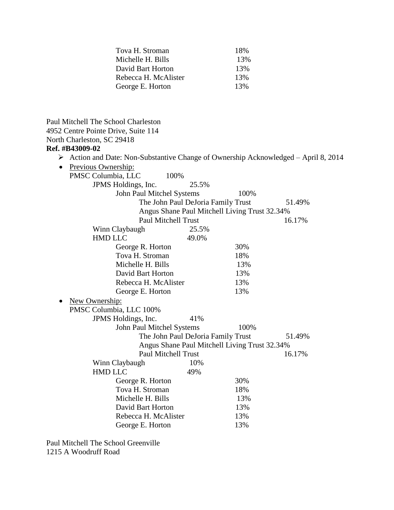| Tova H. Stroman      | 18% |
|----------------------|-----|
| Michelle H. Bills    | 13% |
| David Bart Horton    | 13% |
| Rebecca H. McAlister | 13% |
| George E. Horton     | 13% |

| Paul Mitchell The School Charleston |                                                                                                    |
|-------------------------------------|----------------------------------------------------------------------------------------------------|
| 4952 Centre Pointe Drive, Suite 114 |                                                                                                    |
| North Charleston, SC 29418          |                                                                                                    |
| Ref. #B43009-02                     |                                                                                                    |
|                                     | $\triangleright$ Action and Date: Non-Substantive Change of Ownership Acknowledged – April 8, 2014 |
| Previous Ownership:<br>$\bullet$    |                                                                                                    |
| 100%<br>PMSC Columbia, LLC          |                                                                                                    |
| JPMS Holdings, Inc.                 | 25.5%                                                                                              |
| John Paul Mitchel Systems           | 100%                                                                                               |
| The John Paul DeJoria Family Trust  | 51.49%                                                                                             |
|                                     | Angus Shane Paul Mitchell Living Trust 32.34%                                                      |
| Paul Mitchell Trust                 | 16.17%                                                                                             |
| Winn Claybaugh                      | 25.5%                                                                                              |
| <b>HMD LLC</b>                      | 49.0%                                                                                              |
| George R. Horton                    | 30%                                                                                                |
| Tova H. Stroman                     | 18%                                                                                                |
| Michelle H. Bills                   | 13%                                                                                                |
| David Bart Horton                   | 13%                                                                                                |
| Rebecca H. McAlister                | 13%                                                                                                |
| George E. Horton                    | 13%                                                                                                |
| New Ownership:                      |                                                                                                    |
| PMSC Columbia, LLC 100%             |                                                                                                    |
| JPMS Holdings, Inc.                 | 41%                                                                                                |
| John Paul Mitchel Systems           | 100%                                                                                               |
| The John Paul DeJoria Family Trust  | 51.49%                                                                                             |
|                                     | Angus Shane Paul Mitchell Living Trust 32.34%                                                      |
| Paul Mitchell Trust                 | 16.17%                                                                                             |
| Winn Claybaugh                      | 10%                                                                                                |
| <b>HMD LLC</b><br>49%               |                                                                                                    |
| George R. Horton                    | 30%                                                                                                |
| Tova H. Stroman                     | 18%                                                                                                |
| Michelle H. Bills                   | 13%                                                                                                |
| David Bart Horton                   | 13%                                                                                                |
| Rebecca H. McAlister                | 13%                                                                                                |
| George E. Horton                    | 13%                                                                                                |
|                                     |                                                                                                    |

Paul Mitchell The School Greenville 1215 A Woodruff Road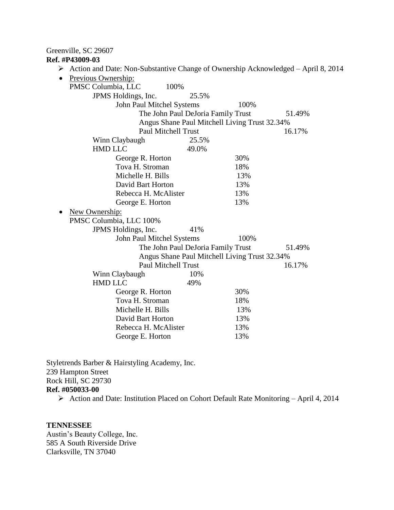## Greenville, SC 29607

#### **Ref. #P43009-03**

| Action and Date: Non-Substantive Change of Ownership Acknowledged - April 8, 2014<br>➤ |       |                                               |        |
|----------------------------------------------------------------------------------------|-------|-----------------------------------------------|--------|
| Previous Ownership:                                                                    |       |                                               |        |
| 100%<br>PMSC Columbia, LLC                                                             |       |                                               |        |
| JPMS Holdings, Inc.                                                                    | 25.5% |                                               |        |
| John Paul Mitchel Systems                                                              |       | 100%                                          |        |
| The John Paul DeJoria Family Trust                                                     |       |                                               | 51.49% |
|                                                                                        |       | Angus Shane Paul Mitchell Living Trust 32.34% |        |
| <b>Paul Mitchell Trust</b>                                                             |       |                                               | 16.17% |
| Winn Claybaugh                                                                         | 25.5% |                                               |        |
| <b>HMD LLC</b>                                                                         | 49.0% |                                               |        |
| George R. Horton                                                                       |       | 30%                                           |        |
| Tova H. Stroman                                                                        |       | 18%                                           |        |
| Michelle H. Bills                                                                      |       | 13%                                           |        |
| David Bart Horton                                                                      |       | 13%                                           |        |
| Rebecca H. McAlister                                                                   |       | 13%                                           |        |
| George E. Horton                                                                       |       | 13%                                           |        |
| New Ownership:                                                                         |       |                                               |        |
| PMSC Columbia, LLC 100%                                                                |       |                                               |        |
| JPMS Holdings, Inc.                                                                    | 41%   |                                               |        |
| John Paul Mitchel Systems                                                              |       | 100%                                          |        |
| The John Paul DeJoria Family Trust                                                     |       |                                               | 51.49% |
|                                                                                        |       | Angus Shane Paul Mitchell Living Trust 32.34% |        |
| <b>Paul Mitchell Trust</b>                                                             |       |                                               | 16.17% |
| Winn Claybaugh                                                                         | 10%   |                                               |        |
| <b>HMD LLC</b>                                                                         | 49%   |                                               |        |
| George R. Horton                                                                       |       | 30%                                           |        |
| Tova H. Stroman                                                                        |       | 18%                                           |        |
| Michelle H. Bills                                                                      |       | 13%                                           |        |
| David Bart Horton                                                                      |       | 13%                                           |        |
| Rebecca H. McAlister                                                                   |       | 13%                                           |        |
| George E. Horton                                                                       |       | 13%                                           |        |
|                                                                                        |       |                                               |        |

Styletrends Barber & Hairstyling Academy, Inc. 239 Hampton Street Rock Hill, SC 29730 **Ref. #050033-00**

Action and Date: Institution Placed on Cohort Default Rate Monitoring – April 4, 2014

#### **TENNESSEE**

Austin's Beauty College, Inc. 585 A South Riverside Drive Clarksville, TN 37040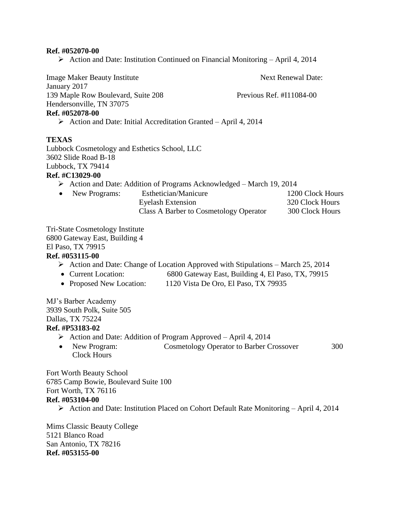#### **Ref. #052070-00**

 $\triangleright$  Action and Date: Institution Continued on Financial Monitoring – April 4, 2014

Image Maker Beauty Institute Next Renewal Date: January 2017 139 Maple Row Boulevard, Suite 208 Previous Ref. #I11084-00 Hendersonville, TN 37075 **Ref. #052078-00**  $\triangleright$  Action and Date: Initial Accreditation Granted – April 4, 2014 **TEXAS** Lubbock Cosmetology and Esthetics School, LLC 3602 Slide Road B-18 Lubbock, TX 79414 **Ref. #C13029-00** Action and Date: Addition of Programs Acknowledged – March 19, 2014 • New Programs: Esthetician/Manicure 1200 Clock Hours Eyelash Extension 320 Clock Hours Class A Barber to Cosmetology Operator 300 Clock Hours Tri-State Cosmetology Institute

6800 Gateway East, Building 4 El Paso, TX 79915

#### **Ref. #053115-00**

- $\triangleright$  Action and Date: Change of Location Approved with Stipulations March 25, 2014
- Current Location: 6800 Gateway East, Building 4, El Paso, TX, 79915
- Proposed New Location: 1120 Vista De Oro, El Paso, TX 79935

MJ's Barber Academy 3939 South Polk, Suite 505 Dallas, TX 75224 **Ref. #P53183-02**

- $\triangleright$  Action and Date: Addition of Program Approved April 4, 2014
- New Program: Cosmetology Operator to Barber Crossover 300 Clock Hours

Fort Worth Beauty School 6785 Camp Bowie, Boulevard Suite 100 Fort Worth, TX 76116 **Ref. #053104-00**

Action and Date: Institution Placed on Cohort Default Rate Monitoring – April 4, 2014

Mims Classic Beauty College 5121 Blanco Road San Antonio, TX 78216 **Ref. #053155-00**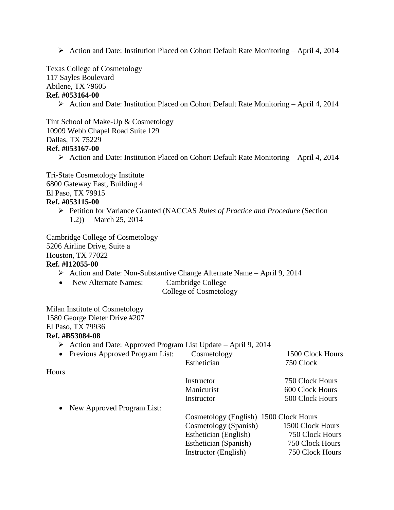Action and Date: Institution Placed on Cohort Default Rate Monitoring – April 4, 2014

Texas College of Cosmetology

117 Sayles Boulevard

Abilene, TX 79605

### **Ref. #053164-00**

 $\triangleright$  Action and Date: Institution Placed on Cohort Default Rate Monitoring – April 4, 2014

Tint School of Make-Up & Cosmetology 10909 Webb Chapel Road Suite 129 Dallas, TX 75229 **Ref. #053167-00**

 $\triangleright$  Action and Date: Institution Placed on Cohort Default Rate Monitoring – April 4, 2014

Tri-State Cosmetology Institute 6800 Gateway East, Building 4 El Paso, TX 79915

# **Ref. #053115-00**

 Petition for Variance Granted (NACCAS *Rules of Practice and Procedure* (Section 1.2)) – March 25, 2014

Cambridge College of Cosmetology 5206 Airline Drive, Suite a Houston, TX 77022 **Ref. #I12055-00**

- Action and Date: Non-Substantive Change Alternate Name April 9, 2014
- New Alternate Names: Cambridge College
	- College of Cosmetology

Milan Institute of Cosmetology 1580 George Dieter Drive #207 El Paso, TX 79936

#### **Ref. #B53084-08**

 $\triangleright$  Action and Date: Approved Program List Update – April 9, 2014

|              | • Previous Approved Program List: | Cosmetology | 1500 Clock Hours |
|--------------|-----------------------------------|-------------|------------------|
|              |                                   | Esthetician | 750 Clock        |
| <b>Hours</b> |                                   |             |                  |
|              |                                   | Instructor  | 750 Clock Hours  |
|              |                                   | Manicurist  | 600 Clock Hours  |

• New Approved Program List:

| $1.00711$ $1.001010$ |                                        |                  |
|----------------------|----------------------------------------|------------------|
|                      | Cosmetology (English) 1500 Clock Hours |                  |
|                      | Cosmetology (Spanish)                  | 1500 Clock Hours |
|                      | Esthetician (English)                  | 750 Clock Hours  |
|                      | Esthetician (Spanish)                  | 750 Clock Hours  |
|                      | Instructor (English)                   | 750 Clock Hours  |
|                      |                                        |                  |

Instructor 500 Clock Hours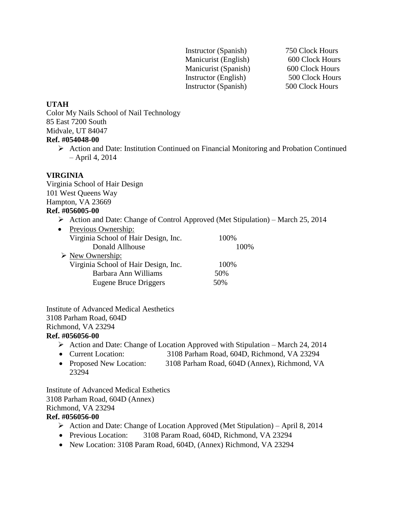Instructor (Spanish) 750 Clock Hours Manicurist (English) 600 Clock Hours Manicurist (Spanish) 600 Clock Hours Instructor (English) 500 Clock Hours Instructor (Spanish) 500 Clock Hours

#### **UTAH**

Color My Nails School of Nail Technology 85 East 7200 South Midvale, UT 84047

#### **Ref. #054048-00**

 Action and Date: Institution Continued on Financial Monitoring and Probation Continued – April 4, 2014

#### **VIRGINIA**

Virginia School of Hair Design 101 West Queens Way Hampton, VA 23669

# **Ref. #056005-00**

 $\triangleright$  Action and Date: Change of Control Approved (Met Stipulation) – March 25, 2014

| Previous Ownership:<br>$\bullet$     |       |
|--------------------------------------|-------|
| Virginia School of Hair Design, Inc. | 100%  |
| Donald Allhouse                      | 100\% |
| $\triangleright$ New Ownership:      |       |
| Virginia School of Hair Design, Inc. | 100%  |
| Barbara Ann Williams                 | 50%   |
| Eugene Bruce Driggers                | 50%   |
|                                      |       |

Institute of Advanced Medical Aesthetics 3108 Parham Road, 604D Richmond, VA 23294

#### **Ref. #056056-00**

- $\triangleright$  Action and Date: Change of Location Approved with Stipulation March 24, 2014
- Current Location: 3108 Parham Road, 604D, Richmond, VA 23294
- Proposed New Location: 3108 Parham Road, 604D (Annex), Richmond, VA 23294

Institute of Advanced Medical Esthetics 3108 Parham Road, 604D (Annex) Richmond, VA 23294 **Ref. #056056-00**

- Action and Date: Change of Location Approved (Met Stipulation) April 8, 2014
- Previous Location: 3108 Param Road, 604D, Richmond, VA 23294
- New Location: 3108 Param Road, 604D, (Annex) Richmond, VA 23294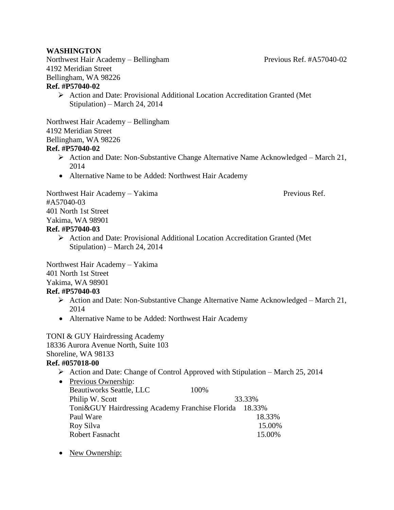#### **WASHINGTON**

Northwest Hair Academy – Bellingham Previous Ref. #A57040-02 4192 Meridian Street Bellingham, WA 98226 **Ref. #P57040-02**

 $\triangleright$  Action and Date: Provisional Additional Location Accreditation Granted (Met Stipulation) – March 24, 2014

Northwest Hair Academy – Bellingham 4192 Meridian Street Bellingham, WA 98226

#### **Ref. #P57040-02**

- $\triangleright$  Action and Date: Non-Substantive Change Alternative Name Acknowledged March 21, 2014
- Alternative Name to be Added: Northwest Hair Academy

Northwest Hair Academy – Yakima Previous Ref. #A57040-03 401 North 1st Street Yakima, WA 98901

#### **Ref. #P57040-03**

 Action and Date: Provisional Additional Location Accreditation Granted (Met Stipulation) – March 24, 2014

Northwest Hair Academy – Yakima 401 North 1st Street Yakima, WA 98901

#### **Ref. #P57040-03**

- $\triangleright$  Action and Date: Non-Substantive Change Alternative Name Acknowledged March 21, 2014
- Alternative Name to be Added: Northwest Hair Academy

TONI & GUY Hairdressing Academy 18336 Aurora Avenue North, Suite 103 Shoreline, WA 98133

#### **Ref. #057018-00**

- $\triangleright$  Action and Date: Change of Control Approved with Stipulation March 25, 2014
- Previous Ownership: Beautiworks Seattle, LLC 100% Philip W. Scott 33.33% Toni&GUY Hairdressing Academy Franchise Florida 18.33% Paul Ware 18.33% Roy Silva 15.00% Robert Fasnacht 15.00%
- New Ownership: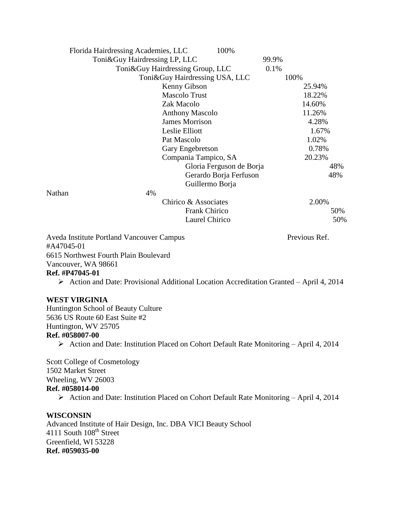| Florida Hairdressing Academies, LLC                                                      | 100%                             |               |     |
|------------------------------------------------------------------------------------------|----------------------------------|---------------|-----|
| Toni&Guy Hairdressing LP, LLC                                                            |                                  | 99.9%         |     |
|                                                                                          | Toni&Guy Hairdressing Group, LLC | 0.1%          |     |
|                                                                                          | Toni&Guy Hairdressing USA, LLC   | 100%          |     |
|                                                                                          | Kenny Gibson                     | 25.94%        |     |
|                                                                                          | <b>Mascolo Trust</b>             | 18.22%        |     |
|                                                                                          | Zak Macolo                       | 14.60%        |     |
|                                                                                          | <b>Anthony Mascolo</b>           | 11.26%        |     |
|                                                                                          | <b>James Morrison</b>            | 4.28%         |     |
|                                                                                          | Leslie Elliott                   | 1.67%         |     |
|                                                                                          | Pat Mascolo                      | 1.02%         |     |
|                                                                                          | Gary Engebretson                 | 0.78%         |     |
|                                                                                          | Compania Tampico, SA             | 20.23%        |     |
|                                                                                          | Gloria Ferguson de Borja         |               | 48% |
|                                                                                          | Gerardo Borja Ferfuson           |               | 48% |
|                                                                                          | Guillermo Borja                  |               |     |
| 4%<br>Nathan                                                                             |                                  |               |     |
|                                                                                          | Chirico & Associates             | 2.00%         |     |
|                                                                                          | <b>Frank Chirico</b>             |               | 50% |
|                                                                                          | Laurel Chirico                   |               | 50% |
| Aveda Institute Portland Vancouver Campus<br>#A47045-01                                  |                                  | Previous Ref. |     |
| 6615 Northwest Fourth Plain Boulevard                                                    |                                  |               |     |
| Vancouver, WA 98661                                                                      |                                  |               |     |
| Ref. #P47045-01                                                                          |                                  |               |     |
| > Action and Date: Provisional Additional Location Accreditation Granted - April 4, 2014 |                                  |               |     |
| <b>WEST VIRGINIA</b>                                                                     |                                  |               |     |

Huntington School of Beauty Culture 5636 US Route 60 East Suite #2 Huntington, WV 25705 **Ref. #058007-00**

Action and Date: Institution Placed on Cohort Default Rate Monitoring – April 4, 2014

Scott College of Cosmetology 1502 Market Street Wheeling, WV 26003 **Ref. #058014-00** Action and Date: Institution Placed on Cohort Default Rate Monitoring – April 4, 2014

#### **WISCONSIN**

Advanced Institute of Hair Design, Inc. DBA VICI Beauty School 4111 South 108<sup>th</sup> Street Greenfield, WI 53228 **Ref. #059035-00**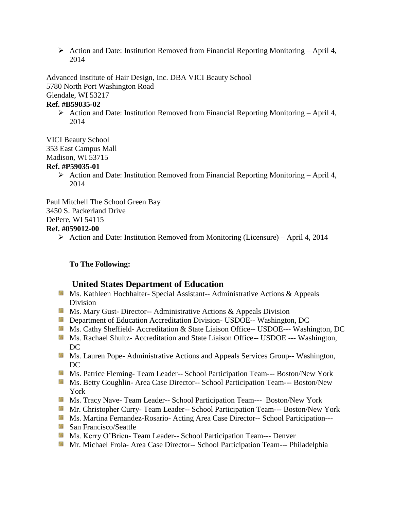$\triangleright$  Action and Date: Institution Removed from Financial Reporting Monitoring – April 4, 2014

Advanced Institute of Hair Design, Inc. DBA VICI Beauty School 5780 North Port Washington Road Glendale, WI 53217

#### **Ref. #B59035-02**

 $\triangleright$  Action and Date: Institution Removed from Financial Reporting Monitoring – April 4, 2014

VICI Beauty School

353 East Campus Mall

Madison, WI 53715

#### **Ref. #P59035-01**

 $\triangleright$  Action and Date: Institution Removed from Financial Reporting Monitoring – April 4, 2014

Paul Mitchell The School Green Bay 3450 S. Packerland Drive DePere, WI 54115 **Ref. #059012-00**

 $\triangleright$  Action and Date: Institution Removed from Monitoring (Licensure) – April 4, 2014

#### **To The Following:**

# **United States Department of Education**

- **Ms. Kathleen Hochhalter- Special Assistant-- Administrative Actions & Appeals** Division
- **Ms. Mary Gust- Director-- Administrative Actions & Appeals Division**
- **Department of Education Accreditation Division- USDOE-- Washington, DC**
- Ms. Cathy Sheffield- Accreditation & State Liaison Office-- USDOE--- Washington, DC
- **Ms. Rachael Shultz- Accreditation and State Liaison Office-- USDOE --- Washington,** DC
- **MS. Lauren Pope- Administrative Actions and Appeals Services Group-- Washington,** DC
- Ms. Patrice Fleming- Team Leader-- School Participation Team--- Boston/New York
- Ms. Betty Coughlin- Area Case Director-- School Participation Team--- Boston/New York
- Ms. Tracy Nave- Team Leader-- School Participation Team--- Boston/New York
- Mr. Christopher Curry- Team Leader-- School Participation Team--- Boston/New York
- Ms. Martina Fernandez-Rosario- Acting Area Case Director-- School Participation---
- San Francisco/Seattle
- **Ms. Kerry O'Brien- Team Leader-- School Participation Team--- Denver**
- Mr. Michael Frola- Area Case Director-- School Participation Team--- Philadelphia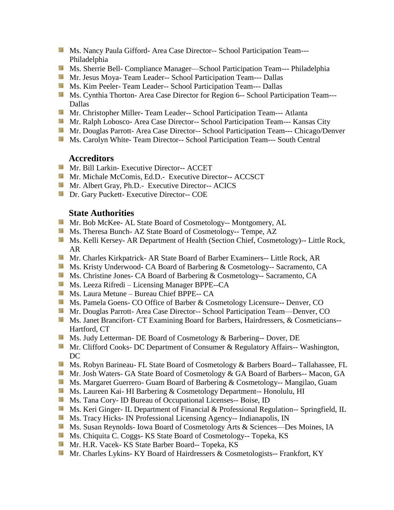- **Ms. Nancy Paula Gifford- Area Case Director-- School Participation Team---**Philadelphia
- Ms. Sherrie Bell- Compliance Manager—School Participation Team--- Philadelphia
- Mr. Jesus Moya- Team Leader-- School Participation Team--- Dallas
- Ms. Kim Peeler- Team Leader-- School Participation Team--- Dallas
- Ms. Cynthia Thorton- Area Case Director for Region 6-- School Participation Team---Dallas
- **Mr. Christopher Miller-Team Leader-- School Participation Team--- Atlanta**
- Mr. Ralph Lobosco- Area Case Director-- School Participation Team--- Kansas City
- Mr. Douglas Parrott- Area Case Director-- School Participation Team--- Chicago/Denver
- **MS. Carolyn White-Team Director-- School Participation Team--- South Central**

# **Accreditors**

- Mr. Bill Larkin- Executive Director-- ACCET
- **Mr. Michale McComis, Ed.D.** Executive Director-- ACCSCT
- **Mr.** Albert Gray, Ph.D.- Executive Director-- ACICS
- **Dr.** Gary Puckett- Executive Director-- COE

## **State Authorities**

- Mr. Bob McKee- AL State Board of Cosmetology-- Montgomery, AL
- Ms. Theresa Bunch- AZ State Board of Cosmetology-- Tempe, AZ
- **Ms. Kelli Kersey- AR Department of Health (Section Chief, Cosmetology)**-- Little Rock, AR
- Mr. Charles Kirkpatrick- AR State Board of Barber Examiners-- Little Rock, AR
- Ms. Kristy Underwood- CA Board of Barbering & Cosmetology-- Sacramento, CA
- Ms. Christine Jones- CA Board of Barbering & Cosmetology-- Sacramento, CA
- Ms. Leeza Rifredi Licensing Manager BPPE--CA
- Ms. Laura Metune Bureau Chief BPPE-- CA
- Ms. Pamela Goens- CO Office of Barber & Cosmetology Licensure-- Denver, CO
- Mr. Douglas Parrott- Area Case Director-- School Participation Team—Denver, CO
- Ms. Janet Brancifort- CT Examining Board for Barbers, Hairdressers, & Cosmeticians--Hartford, CT
- Ms. Judy Letterman- DE Board of Cosmetology & Barbering-- Dover, DE
- **Mr.** Clifford Cooks- DC Department of Consumer & Regulatory Affairs-- Washington, DC
- **Ms. Robyn Barineau- FL State Board of Cosmetology & Barbers Board-- Tallahassee, FL**
- Mr. Josh Waters- GA State Board of Cosmetology & GA Board of Barbers-- Macon, GA
- Ms. Margaret Guerrero- Guam Board of Barbering & Cosmetology-- Mangilao, Guam
- Ms. Laureen Kai- HI Barbering & Cosmetology Department-- Honolulu, HI
- Ms. Tana Cory- ID Bureau of Occupational Licenses-- Boise, ID
- **Ms. Keri Ginger- IL Department of Financial & Professional Regulation-- Springfield, IL**
- Ms. Tracy Hicks- IN Professional Licensing Agency-- Indianapolis, IN
- Ms. Susan Reynolds- Iowa Board of Cosmetology Arts & Sciences-Des Moines, IA
- **Ms.** Chiquita C. Coggs- KS State Board of Cosmetology-- Topeka, KS
- Mr. H.R. Vacek- KS State Barber Board-- Topeka, KS
- Mr. Charles Lykins- KY Board of Hairdressers & Cosmetologists-- Frankfort, KY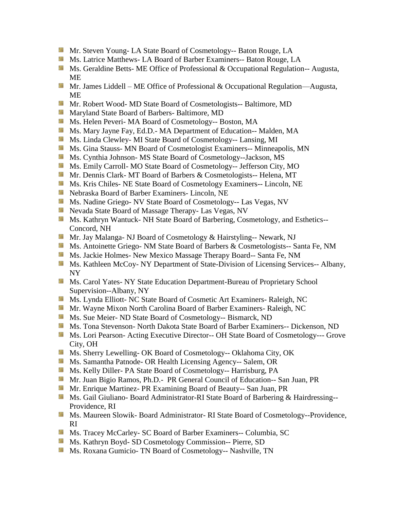- Mr. Steven Young- LA State Board of Cosmetology-- Baton Rouge, LA
- Ms. Latrice Matthews- LA Board of Barber Examiners-- Baton Rouge, LA
- **Ms. Geraldine Betts- ME Office of Professional & Occupational Regulation-- Augusta,** ME
- Mr. James Liddell ME Office of Professional & Occupational Regulation—Augusta, ME
- Mr. Robert Wood- MD State Board of Cosmetologists-- Baltimore, MD
- **Maryland State Board of Barbers- Baltimore, MD**
- Ms. Helen Peveri- MA Board of Cosmetology-- Boston, MA
- Ms. Mary Jayne Fay, Ed.D.- MA Department of Education-- Malden, MA
- Ms. Linda Clewley- MI State Board of Cosmetology-- Lansing, MI
- Ms. Gina Stauss- MN Board of Cosmetologist Examiners-- Minneapolis, MN
- Ms. Cynthia Johnson- MS State Board of Cosmetology--Jackson, MS
- Ms. Emily Carroll- MO State Board of Cosmetology-- Jefferson City, MO
- Mr. Dennis Clark- MT Board of Barbers & Cosmetologists-- Helena, MT
- Ms. Kris Chiles- NE State Board of Cosmetology Examiners-- Lincoln, NE
- Nebraska Board of Barber Examiners- Lincoln, NE
- Ms. Nadine Griego- NV State Board of Cosmetology-- Las Vegas, NV
- Nevada State Board of Massage Therapy- Las Vegas, NV
- Ms. Kathryn Wantuck- NH State Board of Barbering, Cosmetology, and Esthetics---Concord, NH
- Mr. Jay Malanga- NJ Board of Cosmetology & Hairstyling-- Newark, NJ
- Ms. Antoinette Griego- NM State Board of Barbers & Cosmetologists-- Santa Fe, NM
- Ms. Jackie Holmes- New Mexico Massage Therapy Board-- Santa Fe, NM
- Ms. Kathleen McCoy- NY Department of State-Division of Licensing Services-- Albany, NY
- Ms. Carol Yates- NY State Education Department-Bureau of Proprietary School Supervision--Albany, NY
- Ms. Lynda Elliott- NC State Board of Cosmetic Art Examiners- Raleigh, NC
- Mr. Wayne Mixon North Carolina Board of Barber Examiners- Raleigh, NC
- Ms. Sue Meier- ND State Board of Cosmetology-- Bismarck, ND
- Ms. Tona Stevenson- North Dakota State Board of Barber Examiners-- Dickenson, ND
- **Ms. Lori Pearson- Acting Executive Director-- OH State Board of Cosmetology--- Grove** City, OH
- Ms. Sherry Lewelling- OK Board of Cosmetology-- Oklahoma City, OK
- **Ms. Samantha Patnode- OR Health Licensing Agency-- Salem, OR**
- Ms. Kelly Diller- PA State Board of Cosmetology-- Harrisburg, PA
- Mr. Juan Bigio Ramos, Ph.D.- PR General Council of Education-- San Juan, PR
- Mr. Enrique Martinez- PR Examining Board of Beauty-- San Juan, PR
- Ms. Gail Giuliano- Board Administrator-RI State Board of Barbering & Hairdressing--Providence, RI
- **MS. Maureen Slowik- Board Administrator- RI State Board of Cosmetology--Providence,** RI
- Ms. Tracey McCarley- SC Board of Barber Examiners-- Columbia, SC
- Ms. Kathryn Boyd- SD Cosmetology Commission-- Pierre, SD
- **Ms. Roxana Gumicio- TN Board of Cosmetology-- Nashville, TN**